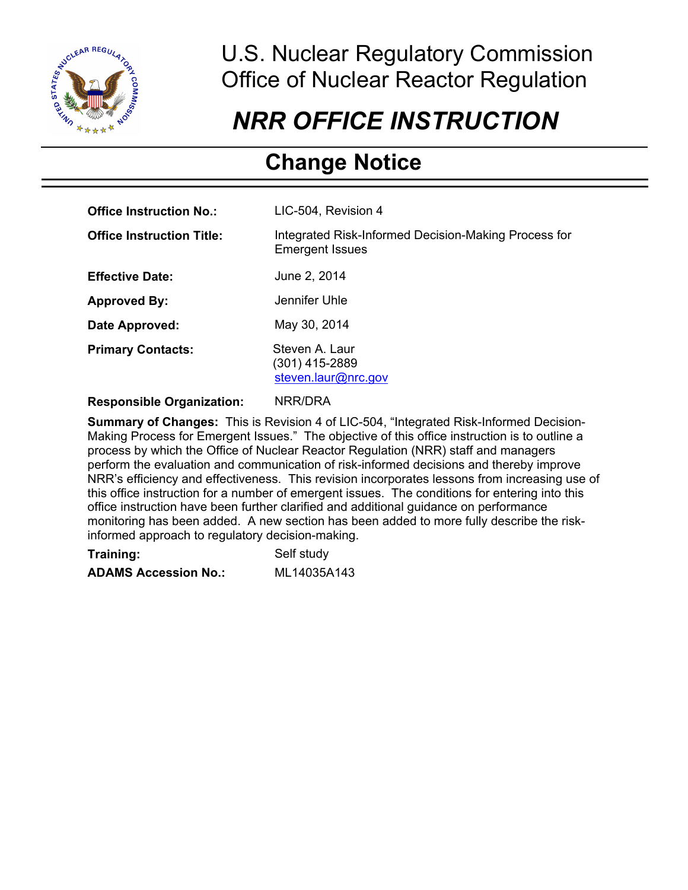

j

# U.S. Nuclear Regulatory Commission Office of Nuclear Reactor Regulation

# *NRR OFFICE INSTRUCTION*

# **Change Notice**

| <b>Office Instruction No.:</b>   | LIC-504, Revision 4                                                            |
|----------------------------------|--------------------------------------------------------------------------------|
| <b>Office Instruction Title:</b> | Integrated Risk-Informed Decision-Making Process for<br><b>Emergent Issues</b> |
| <b>Effective Date:</b>           | June 2, 2014                                                                   |
| <b>Approved By:</b>              | Jennifer Uhle                                                                  |
| Date Approved:                   | May 30, 2014                                                                   |
| <b>Primary Contacts:</b>         | Steven A. Laur<br>(301) 415-2889<br>steven.laur@nrc.gov                        |

# **Responsible Organization:** NRR/DRA

**Summary of Changes:** This is Revision 4 of LIC-504, "Integrated Risk-Informed Decision-Making Process for Emergent Issues." The objective of this office instruction is to outline a process by which the Office of Nuclear Reactor Regulation (NRR) staff and managers perform the evaluation and communication of risk-informed decisions and thereby improve NRR's efficiency and effectiveness. This revision incorporates lessons from increasing use of this office instruction for a number of emergent issues. The conditions for entering into this office instruction have been further clarified and additional guidance on performance monitoring has been added. A new section has been added to more fully describe the riskinformed approach to regulatory decision-making.

| Training:                   | Self study  |
|-----------------------------|-------------|
| <b>ADAMS Accession No.:</b> | ML14035A143 |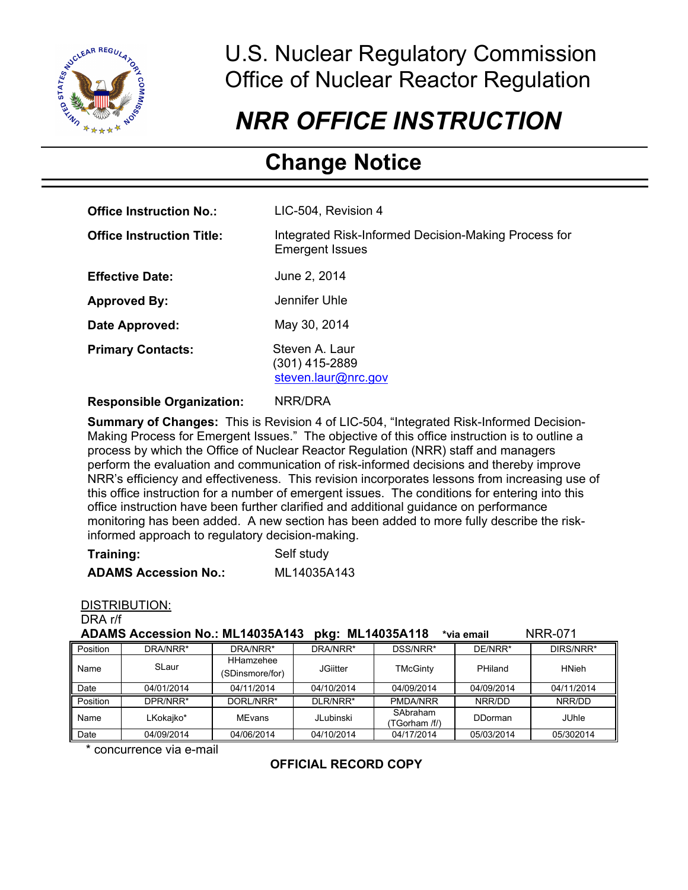

j

# U.S. Nuclear Regulatory Commission Office of Nuclear Reactor Regulation

# *NRR OFFICE INSTRUCTION*

# **Change Notice**

| <b>Office Instruction No.:</b>   | LIC-504, Revision 4                                                            |
|----------------------------------|--------------------------------------------------------------------------------|
| <b>Office Instruction Title:</b> | Integrated Risk-Informed Decision-Making Process for<br><b>Emergent Issues</b> |
| <b>Effective Date:</b>           | June 2, 2014                                                                   |
| <b>Approved By:</b>              | Jennifer Uhle                                                                  |
| Date Approved:                   | May 30, 2014                                                                   |
| <b>Primary Contacts:</b>         | Steven A. Laur<br>$(301)$ 415-2889<br>steven.laur@nrc.gov                      |

# **Responsible Organization:** NRR/DRA

**Summary of Changes:** This is Revision 4 of LIC-504, "Integrated Risk-Informed Decision-Making Process for Emergent Issues." The objective of this office instruction is to outline a process by which the Office of Nuclear Reactor Regulation (NRR) staff and managers perform the evaluation and communication of risk-informed decisions and thereby improve NRR's efficiency and effectiveness. This revision incorporates lessons from increasing use of this office instruction for a number of emergent issues. The conditions for entering into this office instruction have been further clarified and additional guidance on performance monitoring has been added. A new section has been added to more fully describe the riskinformed approach to regulatory decision-making.

| Training:                   | Self study  |
|-----------------------------|-------------|
| <b>ADAMS Accession No.:</b> | ML14035A143 |

#### DISTRIBUTION:

DRA r/f

| ADAMS Accession No.: ML14035A143 pkg: ML14035A118 *via email |  |  | <b>NRR-071</b> |
|--------------------------------------------------------------|--|--|----------------|
|--------------------------------------------------------------|--|--|----------------|

| Position | DRA/NRR*   | DRA/NRR*                     | DRA/NRR*   | DSS/NRR*                  | DE/NRR*    | DIRS/NRR*    |
|----------|------------|------------------------------|------------|---------------------------|------------|--------------|
| Name     | SLaur      | HHamzehee<br>(SDinsmore/for) | JGiitter   | <b>TMcGinty</b>           | PHiland    | <b>HNieh</b> |
| Date     | 04/01/2014 | 04/11/2014                   | 04/10/2014 | 04/09/2014                | 04/09/2014 | 04/11/2014   |
| Position | DPR/NRR*   | DORL/NRR*                    | DLR/NRR*   | <b>PMDA/NRR</b>           | NRR/DD     | NRR/DD       |
| Name     | LKokaiko*  | MEvans                       | JLubinski  | SAbraham<br>(TGorham /f/) | DDorman    | <b>JUhle</b> |
| Date     | 04/09/2014 | 04/06/2014                   | 04/10/2014 | 04/17/2014                | 05/03/2014 | 05/302014    |

\* concurrence via e-mail

# **OFFICIAL RECORD COPY**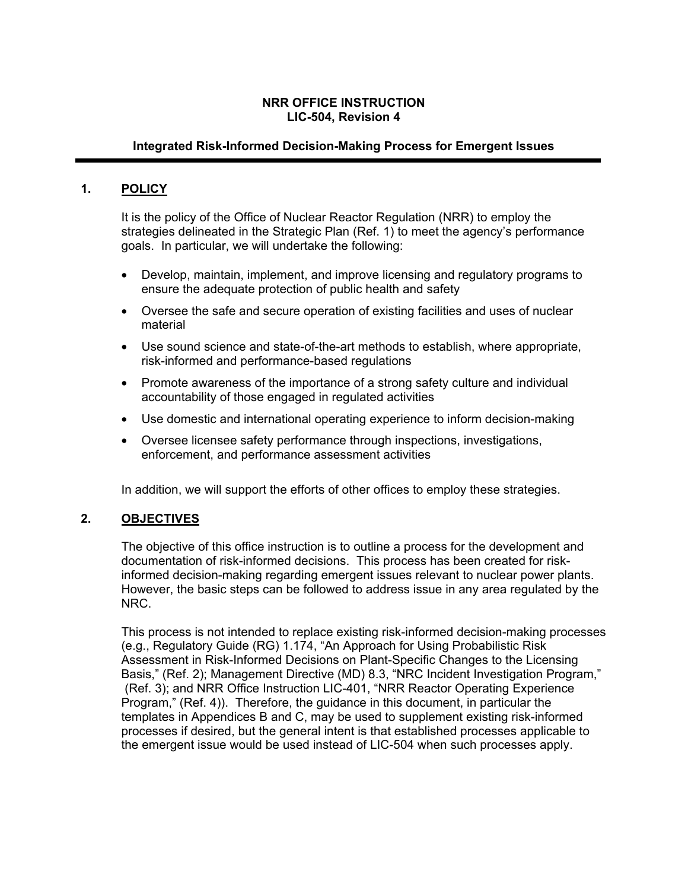# **NRR OFFICE INSTRUCTION LIC-504, Revision 4**

# **Integrated Risk-Informed Decision-Making Process for Emergent Issues**

# **1. POLICY**

It is the policy of the Office of Nuclear Reactor Regulation (NRR) to employ the strategies delineated in the Strategic Plan (Ref. 1) to meet the agency's performance goals. In particular, we will undertake the following:

- Develop, maintain, implement, and improve licensing and regulatory programs to ensure the adequate protection of public health and safety
- Oversee the safe and secure operation of existing facilities and uses of nuclear material
- Use sound science and state-of-the-art methods to establish, where appropriate, risk-informed and performance-based regulations
- Promote awareness of the importance of a strong safety culture and individual accountability of those engaged in regulated activities
- Use domestic and international operating experience to inform decision-making
- Oversee licensee safety performance through inspections, investigations, enforcement, and performance assessment activities

In addition, we will support the efforts of other offices to employ these strategies.

#### **2. OBJECTIVES**

The objective of this office instruction is to outline a process for the development and documentation of risk-informed decisions. This process has been created for riskinformed decision-making regarding emergent issues relevant to nuclear power plants. However, the basic steps can be followed to address issue in any area regulated by the NRC.

This process is not intended to replace existing risk-informed decision-making processes (e.g., Regulatory Guide (RG) 1.174, "An Approach for Using Probabilistic Risk Assessment in Risk-Informed Decisions on Plant-Specific Changes to the Licensing Basis," (Ref. 2); Management Directive (MD) 8.3, "NRC Incident Investigation Program," (Ref. 3); and NRR Office Instruction LIC-401, "NRR Reactor Operating Experience Program," (Ref. 4)). Therefore, the guidance in this document, in particular the templates in Appendices B and C, may be used to supplement existing risk-informed processes if desired, but the general intent is that established processes applicable to the emergent issue would be used instead of LIC-504 when such processes apply.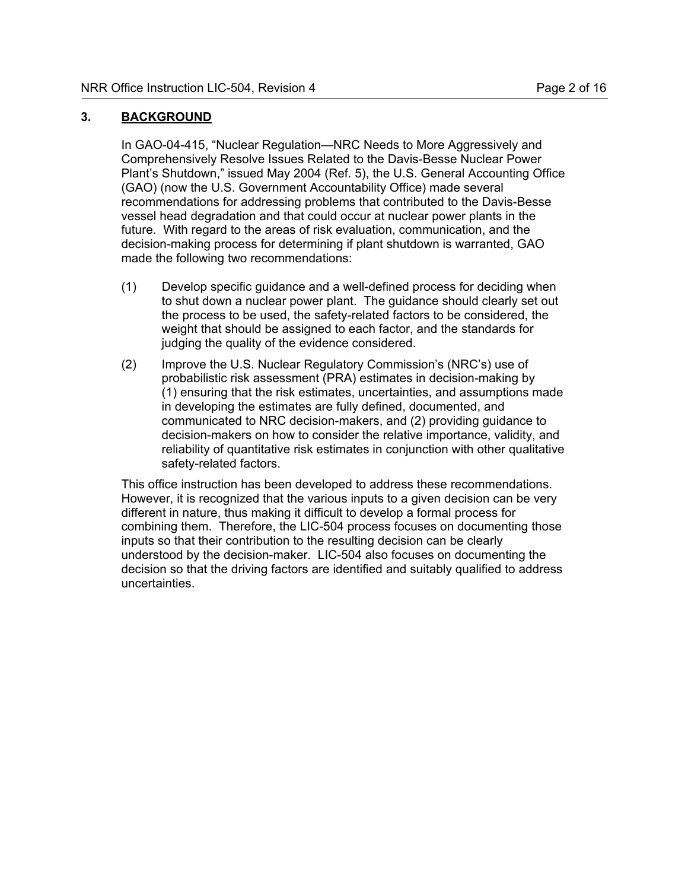# **3. BACKGROUND**

In GAO-04-415, "Nuclear Regulation—NRC Needs to More Aggressively and Comprehensively Resolve Issues Related to the Davis-Besse Nuclear Power Plant's Shutdown," issued May 2004 (Ref. 5), the U.S. General Accounting Office (GAO) (now the U.S. Government Accountability Office) made several recommendations for addressing problems that contributed to the Davis-Besse vessel head degradation and that could occur at nuclear power plants in the future. With regard to the areas of risk evaluation, communication, and the decision-making process for determining if plant shutdown is warranted, GAO made the following two recommendations:

- (1) Develop specific guidance and a well-defined process for deciding when to shut down a nuclear power plant. The guidance should clearly set out the process to be used, the safety-related factors to be considered, the weight that should be assigned to each factor, and the standards for judging the quality of the evidence considered.
- (2) Improve the U.S. Nuclear Regulatory Commission's (NRC's) use of probabilistic risk assessment (PRA) estimates in decision-making by (1) ensuring that the risk estimates, uncertainties, and assumptions made in developing the estimates are fully defined, documented, and communicated to NRC decision-makers, and (2) providing guidance to decision-makers on how to consider the relative importance, validity, and reliability of quantitative risk estimates in conjunction with other qualitative safety-related factors.

This office instruction has been developed to address these recommendations. However, it is recognized that the various inputs to a given decision can be very different in nature, thus making it difficult to develop a formal process for combining them. Therefore, the LIC-504 process focuses on documenting those inputs so that their contribution to the resulting decision can be clearly understood by the decision-maker. LIC-504 also focuses on documenting the decision so that the driving factors are identified and suitably qualified to address uncertainties.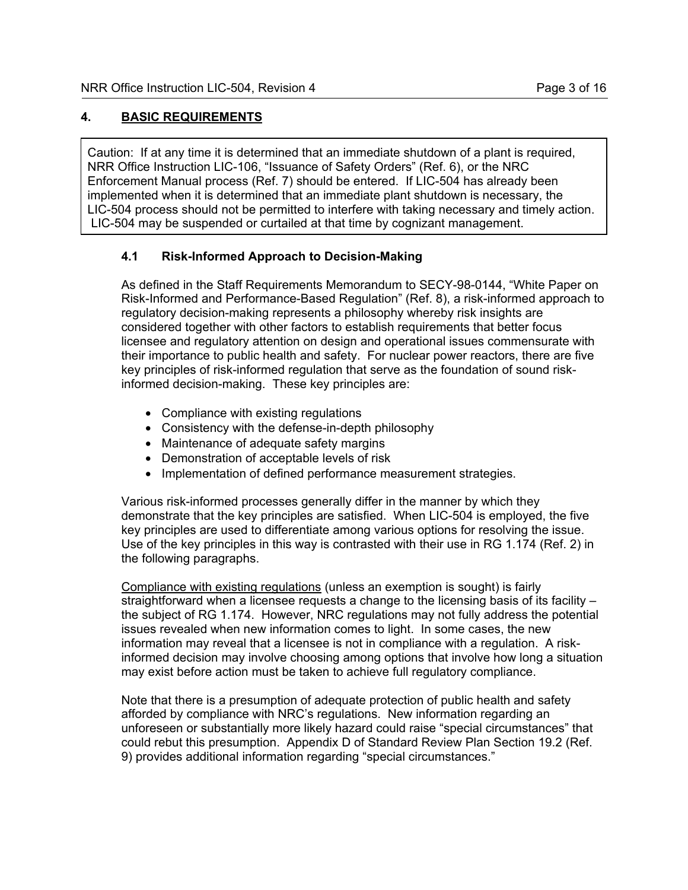# **4. BASIC REQUIREMENTS**

Caution: If at any time it is determined that an immediate shutdown of a plant is required, NRR Office Instruction LIC-106, "Issuance of Safety Orders" (Ref. 6), or the NRC Enforcement Manual process (Ref. 7) should be entered. If LIC-504 has already been implemented when it is determined that an immediate plant shutdown is necessary, the LIC-504 process should not be permitted to interfere with taking necessary and timely action. LIC-504 may be suspended or curtailed at that time by cognizant management.

# **4.1 Risk-Informed Approach to Decision-Making**

As defined in the Staff Requirements Memorandum to SECY-98-0144, "White Paper on Risk-Informed and Performance-Based Regulation" (Ref. 8), a risk-informed approach to regulatory decision-making represents a philosophy whereby risk insights are considered together with other factors to establish requirements that better focus licensee and regulatory attention on design and operational issues commensurate with their importance to public health and safety. For nuclear power reactors, there are five key principles of risk-informed regulation that serve as the foundation of sound riskinformed decision-making. These key principles are:

- Compliance with existing regulations
- Consistency with the defense-in-depth philosophy
- Maintenance of adequate safety margins
- Demonstration of acceptable levels of risk
- Implementation of defined performance measurement strategies.

Various risk-informed processes generally differ in the manner by which they demonstrate that the key principles are satisfied. When LIC-504 is employed, the five key principles are used to differentiate among various options for resolving the issue. Use of the key principles in this way is contrasted with their use in RG 1.174 (Ref. 2) in the following paragraphs.

Compliance with existing regulations (unless an exemption is sought) is fairly straightforward when a licensee requests a change to the licensing basis of its facility – the subject of RG 1.174. However, NRC regulations may not fully address the potential issues revealed when new information comes to light. In some cases, the new information may reveal that a licensee is not in compliance with a regulation. A riskinformed decision may involve choosing among options that involve how long a situation may exist before action must be taken to achieve full regulatory compliance.

Note that there is a presumption of adequate protection of public health and safety afforded by compliance with NRC's regulations. New information regarding an unforeseen or substantially more likely hazard could raise "special circumstances" that could rebut this presumption. Appendix D of Standard Review Plan Section 19.2 (Ref. 9) provides additional information regarding "special circumstances."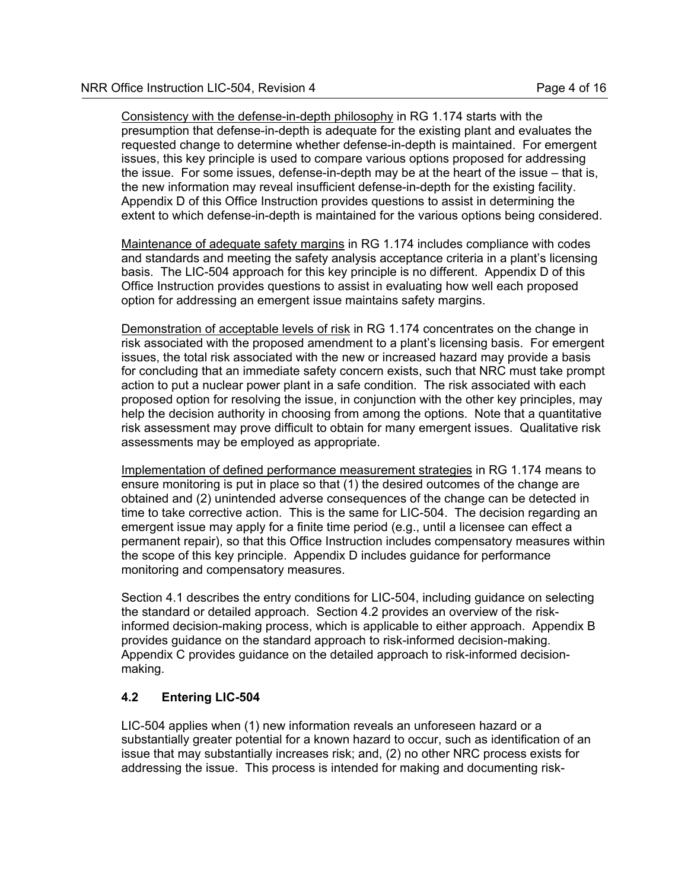Consistency with the defense-in-depth philosophy in RG 1.174 starts with the presumption that defense-in-depth is adequate for the existing plant and evaluates the requested change to determine whether defense-in-depth is maintained. For emergent issues, this key principle is used to compare various options proposed for addressing the issue. For some issues, defense-in-depth may be at the heart of the issue – that is, the new information may reveal insufficient defense-in-depth for the existing facility. Appendix D of this Office Instruction provides questions to assist in determining the extent to which defense-in-depth is maintained for the various options being considered.

Maintenance of adequate safety margins in RG 1.174 includes compliance with codes and standards and meeting the safety analysis acceptance criteria in a plant's licensing basis. The LIC-504 approach for this key principle is no different. Appendix D of this Office Instruction provides questions to assist in evaluating how well each proposed option for addressing an emergent issue maintains safety margins.

Demonstration of acceptable levels of risk in RG 1.174 concentrates on the change in risk associated with the proposed amendment to a plant's licensing basis. For emergent issues, the total risk associated with the new or increased hazard may provide a basis for concluding that an immediate safety concern exists, such that NRC must take prompt action to put a nuclear power plant in a safe condition. The risk associated with each proposed option for resolving the issue, in conjunction with the other key principles, may help the decision authority in choosing from among the options. Note that a quantitative risk assessment may prove difficult to obtain for many emergent issues. Qualitative risk assessments may be employed as appropriate.

Implementation of defined performance measurement strategies in RG 1.174 means to ensure monitoring is put in place so that (1) the desired outcomes of the change are obtained and (2) unintended adverse consequences of the change can be detected in time to take corrective action. This is the same for LIC-504. The decision regarding an emergent issue may apply for a finite time period (e.g., until a licensee can effect a permanent repair), so that this Office Instruction includes compensatory measures within the scope of this key principle. Appendix D includes guidance for performance monitoring and compensatory measures.

Section 4.1 describes the entry conditions for LIC-504, including guidance on selecting the standard or detailed approach. Section 4.2 provides an overview of the riskinformed decision-making process, which is applicable to either approach. Appendix B provides guidance on the standard approach to risk-informed decision-making. Appendix C provides guidance on the detailed approach to risk-informed decisionmaking.

# **4.2 Entering LIC-504**

LIC-504 applies when (1) new information reveals an unforeseen hazard or a substantially greater potential for a known hazard to occur, such as identification of an issue that may substantially increases risk; and, (2) no other NRC process exists for addressing the issue. This process is intended for making and documenting risk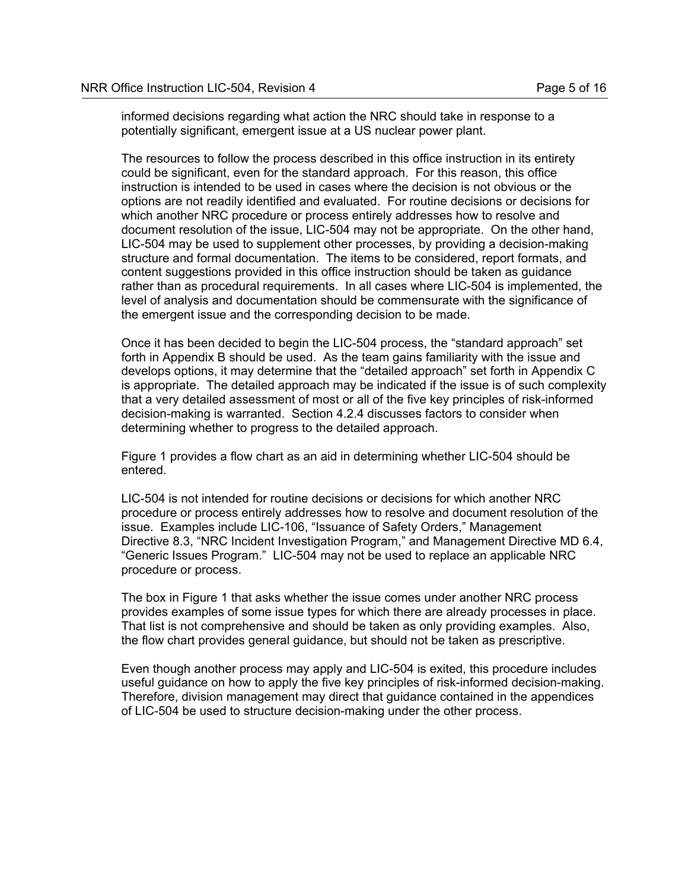informed decisions regarding what action the NRC should take in response to a potentially significant, emergent issue at a US nuclear power plant.

The resources to follow the process described in this office instruction in its entirety could be significant, even for the standard approach. For this reason, this office instruction is intended to be used in cases where the decision is not obvious or the options are not readily identified and evaluated. For routine decisions or decisions for which another NRC procedure or process entirely addresses how to resolve and document resolution of the issue, LIC-504 may not be appropriate. On the other hand, LIC-504 may be used to supplement other processes, by providing a decision-making structure and formal documentation. The items to be considered, report formats, and content suggestions provided in this office instruction should be taken as guidance rather than as procedural requirements. In all cases where LIC-504 is implemented, the level of analysis and documentation should be commensurate with the significance of the emergent issue and the corresponding decision to be made.

Once it has been decided to begin the LIC-504 process, the "standard approach" set forth in Appendix B should be used. As the team gains familiarity with the issue and develops options, it may determine that the "detailed approach" set forth in Appendix C is appropriate. The detailed approach may be indicated if the issue is of such complexity that a very detailed assessment of most or all of the five key principles of risk-informed decision-making is warranted. Section 4.2.4 discusses factors to consider when determining whether to progress to the detailed approach.

Figure 1 provides a flow chart as an aid in determining whether LIC-504 should be entered.

LIC-504 is not intended for routine decisions or decisions for which another NRC procedure or process entirely addresses how to resolve and document resolution of the issue. Examples include LIC-106, "Issuance of Safety Orders," Management Directive 8.3, "NRC Incident Investigation Program," and Management Directive MD 6.4, "Generic Issues Program." LIC-504 may not be used to replace an applicable NRC procedure or process.

The box in Figure 1 that asks whether the issue comes under another NRC process provides examples of some issue types for which there are already processes in place. That list is not comprehensive and should be taken as only providing examples. Also, the flow chart provides general guidance, but should not be taken as prescriptive.

Even though another process may apply and LIC-504 is exited, this procedure includes useful guidance on how to apply the five key principles of risk-informed decision-making. Therefore, division management may direct that guidance contained in the appendices of LIC-504 be used to structure decision-making under the other process.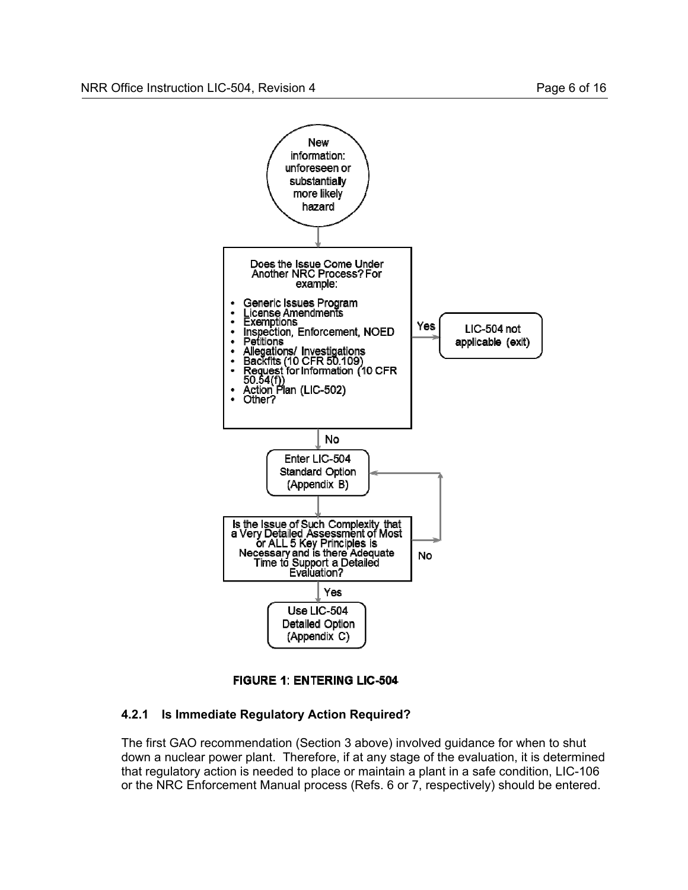



# **4.2.1 Is Immediate Regulatory Action Required?**

The first GAO recommendation (Section 3 above) involved guidance for when to shut down a nuclear power plant. Therefore, if at any stage of the evaluation, it is determined that regulatory action is needed to place or maintain a plant in a safe condition, LIC-106 or the NRC Enforcement Manual process (Refs. 6 or 7, respectively) should be entered.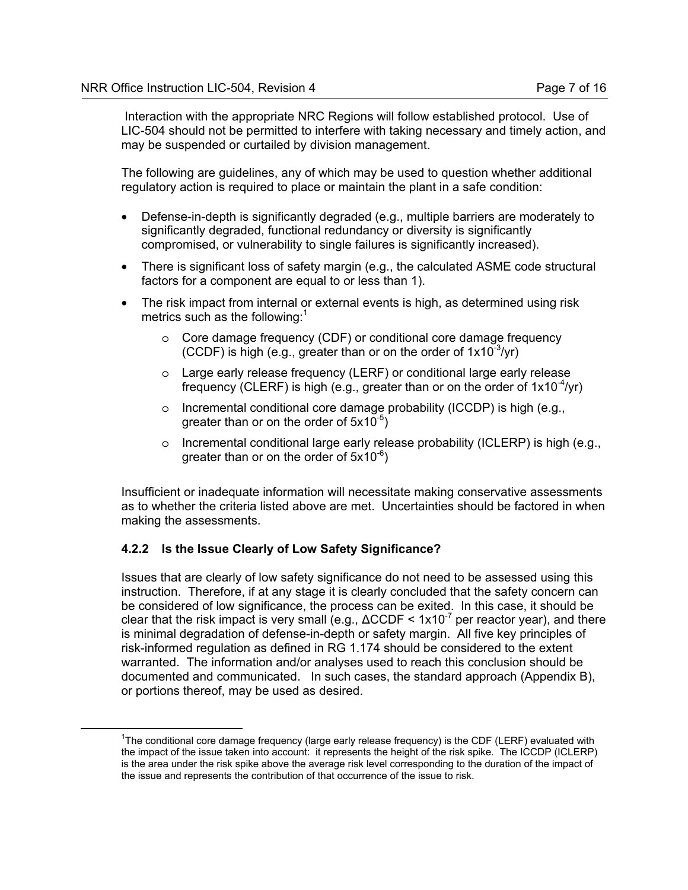Interaction with the appropriate NRC Regions will follow established protocol. Use of LIC-504 should not be permitted to interfere with taking necessary and timely action, and may be suspended or curtailed by division management.

The following are guidelines, any of which may be used to question whether additional regulatory action is required to place or maintain the plant in a safe condition:

- Defense-in-depth is significantly degraded (e.g., multiple barriers are moderately to significantly degraded, functional redundancy or diversity is significantly compromised, or vulnerability to single failures is significantly increased).
- There is significant loss of safety margin (e.g., the calculated ASME code structural factors for a component are equal to or less than 1).
- The risk impact from internal or external events is high, as determined using risk metrics such as the following: $1$ 
	- o Core damage frequency (CDF) or conditional core damage frequency (CCDF) is high (e.g., greater than or on the order of  $1x10^{-3}/yr$ )
	- o Large early release frequency (LERF) or conditional large early release frequency (CLERF) is high (e.g., greater than or on the order of  $1x10^{-4}/yr$ )
	- o Incremental conditional core damage probability (ICCDP) is high (e.g., greater than or on the order of  $5x10^{-5}$ )
	- $\circ$  Incremental conditional large early release probability (ICLERP) is high (e.g., greater than or on the order of  $5x10^{-6}$ )

Insufficient or inadequate information will necessitate making conservative assessments as to whether the criteria listed above are met. Uncertainties should be factored in when making the assessments.

# **4.2.2 Is the Issue Clearly of Low Safety Significance?**

Issues that are clearly of low safety significance do not need to be assessed using this instruction. Therefore, if at any stage it is clearly concluded that the safety concern can be considered of low significance, the process can be exited. In this case, it should be clear that the risk impact is very small (e.g.,  $\triangle CCDF < 1x10^{-7}$  per reactor year), and there is minimal degradation of defense-in-depth or safety margin. All five key principles of risk-informed regulation as defined in RG 1.174 should be considered to the extent warranted. The information and/or analyses used to reach this conclusion should be documented and communicated. In such cases, the standard approach (Appendix B), or portions thereof, may be used as desired.

 $\overline{\phantom{a}}$  $1$ The conditional core damage frequency (large early release frequency) is the CDF (LERF) evaluated with the impact of the issue taken into account: it represents the height of the risk spike. The ICCDP (ICLERP) is the area under the risk spike above the average risk level corresponding to the duration of the impact of the issue and represents the contribution of that occurrence of the issue to risk.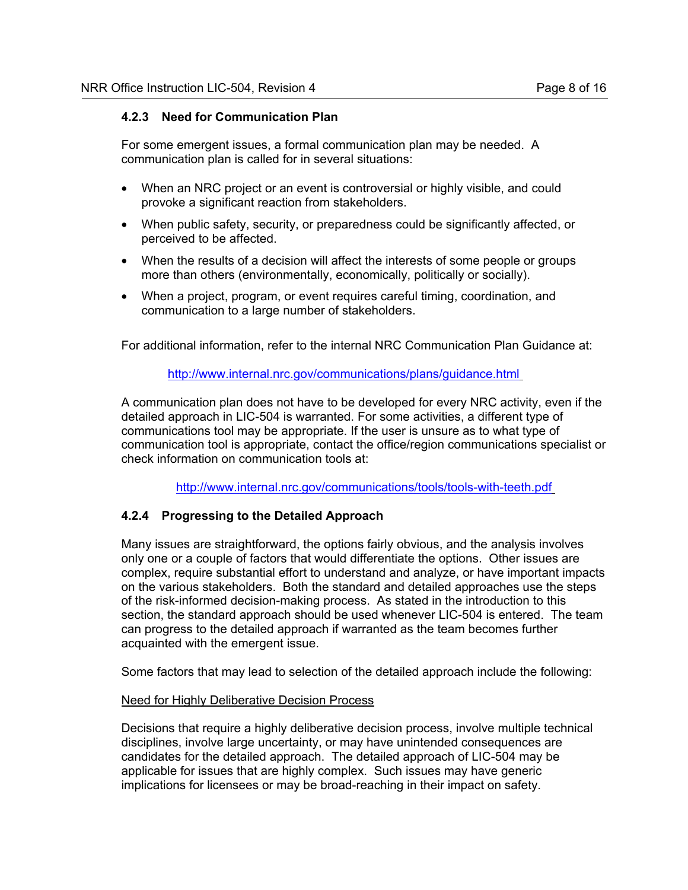# **4.2.3 Need for Communication Plan**

For some emergent issues, a formal communication plan may be needed. A communication plan is called for in several situations:

- When an NRC project or an event is controversial or highly visible, and could provoke a significant reaction from stakeholders.
- When public safety, security, or preparedness could be significantly affected, or perceived to be affected.
- When the results of a decision will affect the interests of some people or groups more than others (environmentally, economically, politically or socially).
- When a project, program, or event requires careful timing, coordination, and communication to a large number of stakeholders.

For additional information, refer to the internal NRC Communication Plan Guidance at:

# http://www.internal.nrc.gov/communications/plans/guidance.html

A communication plan does not have to be developed for every NRC activity, even if the detailed approach in LIC-504 is warranted. For some activities, a different type of communications tool may be appropriate. If the user is unsure as to what type of communication tool is appropriate, contact the office/region communications specialist or check information on communication tools at:

http://www.internal.nrc.gov/communications/tools/tools-with-teeth.pdf

#### **4.2.4 Progressing to the Detailed Approach**

Many issues are straightforward, the options fairly obvious, and the analysis involves only one or a couple of factors that would differentiate the options. Other issues are complex, require substantial effort to understand and analyze, or have important impacts on the various stakeholders. Both the standard and detailed approaches use the steps of the risk-informed decision-making process. As stated in the introduction to this section, the standard approach should be used whenever LIC-504 is entered. The team can progress to the detailed approach if warranted as the team becomes further acquainted with the emergent issue.

Some factors that may lead to selection of the detailed approach include the following:

#### Need for Highly Deliberative Decision Process

Decisions that require a highly deliberative decision process, involve multiple technical disciplines, involve large uncertainty, or may have unintended consequences are candidates for the detailed approach. The detailed approach of LIC-504 may be applicable for issues that are highly complex. Such issues may have generic implications for licensees or may be broad-reaching in their impact on safety.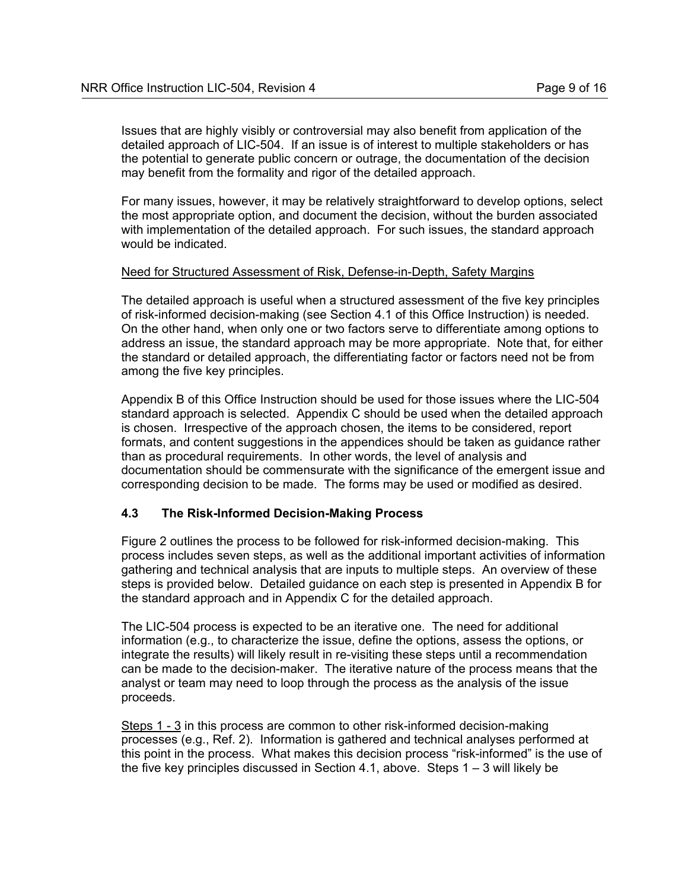Issues that are highly visibly or controversial may also benefit from application of the detailed approach of LIC-504. If an issue is of interest to multiple stakeholders or has the potential to generate public concern or outrage, the documentation of the decision may benefit from the formality and rigor of the detailed approach.

For many issues, however, it may be relatively straightforward to develop options, select the most appropriate option, and document the decision, without the burden associated with implementation of the detailed approach. For such issues, the standard approach would be indicated.

#### Need for Structured Assessment of Risk, Defense-in-Depth, Safety Margins

The detailed approach is useful when a structured assessment of the five key principles of risk-informed decision-making (see Section 4.1 of this Office Instruction) is needed. On the other hand, when only one or two factors serve to differentiate among options to address an issue, the standard approach may be more appropriate. Note that, for either the standard or detailed approach, the differentiating factor or factors need not be from among the five key principles.

Appendix B of this Office Instruction should be used for those issues where the LIC-504 standard approach is selected. Appendix C should be used when the detailed approach is chosen. Irrespective of the approach chosen, the items to be considered, report formats, and content suggestions in the appendices should be taken as guidance rather than as procedural requirements. In other words, the level of analysis and documentation should be commensurate with the significance of the emergent issue and corresponding decision to be made. The forms may be used or modified as desired.

#### **4.3 The Risk-Informed Decision-Making Process**

Figure 2 outlines the process to be followed for risk-informed decision-making. This process includes seven steps, as well as the additional important activities of information gathering and technical analysis that are inputs to multiple steps. An overview of these steps is provided below. Detailed guidance on each step is presented in Appendix B for the standard approach and in Appendix C for the detailed approach.

The LIC-504 process is expected to be an iterative one. The need for additional information (e.g., to characterize the issue, define the options, assess the options, or integrate the results) will likely result in re-visiting these steps until a recommendation can be made to the decision-maker. The iterative nature of the process means that the analyst or team may need to loop through the process as the analysis of the issue proceeds.

Steps 1 - 3 in this process are common to other risk-informed decision-making processes (e.g., Ref. 2). Information is gathered and technical analyses performed at this point in the process. What makes this decision process "risk-informed" is the use of the five key principles discussed in Section 4.1, above. Steps 1 – 3 will likely be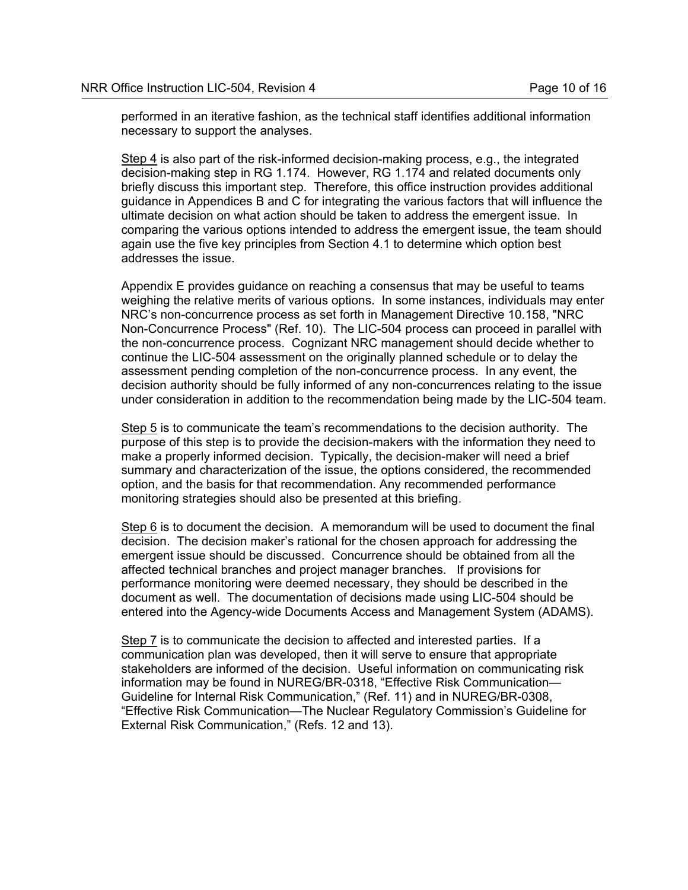performed in an iterative fashion, as the technical staff identifies additional information necessary to support the analyses.

Step 4 is also part of the risk-informed decision-making process, e.g., the integrated decision-making step in RG 1.174. However, RG 1.174 and related documents only briefly discuss this important step. Therefore, this office instruction provides additional guidance in Appendices B and C for integrating the various factors that will influence the ultimate decision on what action should be taken to address the emergent issue. In comparing the various options intended to address the emergent issue, the team should again use the five key principles from Section 4.1 to determine which option best addresses the issue.

Appendix E provides guidance on reaching a consensus that may be useful to teams weighing the relative merits of various options. In some instances, individuals may enter NRC's non-concurrence process as set forth in Management Directive 10.158, "NRC Non-Concurrence Process" (Ref. 10). The LIC-504 process can proceed in parallel with the non-concurrence process. Cognizant NRC management should decide whether to continue the LIC-504 assessment on the originally planned schedule or to delay the assessment pending completion of the non-concurrence process. In any event, the decision authority should be fully informed of any non-concurrences relating to the issue under consideration in addition to the recommendation being made by the LIC-504 team.

Step 5 is to communicate the team's recommendations to the decision authority. The purpose of this step is to provide the decision-makers with the information they need to make a properly informed decision. Typically, the decision-maker will need a brief summary and characterization of the issue, the options considered, the recommended option, and the basis for that recommendation. Any recommended performance monitoring strategies should also be presented at this briefing.

Step 6 is to document the decision. A memorandum will be used to document the final decision. The decision maker's rational for the chosen approach for addressing the emergent issue should be discussed. Concurrence should be obtained from all the affected technical branches and project manager branches. If provisions for performance monitoring were deemed necessary, they should be described in the document as well. The documentation of decisions made using LIC-504 should be entered into the Agency-wide Documents Access and Management System (ADAMS).

Step 7 is to communicate the decision to affected and interested parties. If a communication plan was developed, then it will serve to ensure that appropriate stakeholders are informed of the decision. Useful information on communicating risk information may be found in NUREG/BR-0318, "Effective Risk Communication— Guideline for Internal Risk Communication," (Ref. 11) and in NUREG/BR-0308, "Effective Risk Communication—The Nuclear Regulatory Commission's Guideline for External Risk Communication," (Refs. 12 and 13).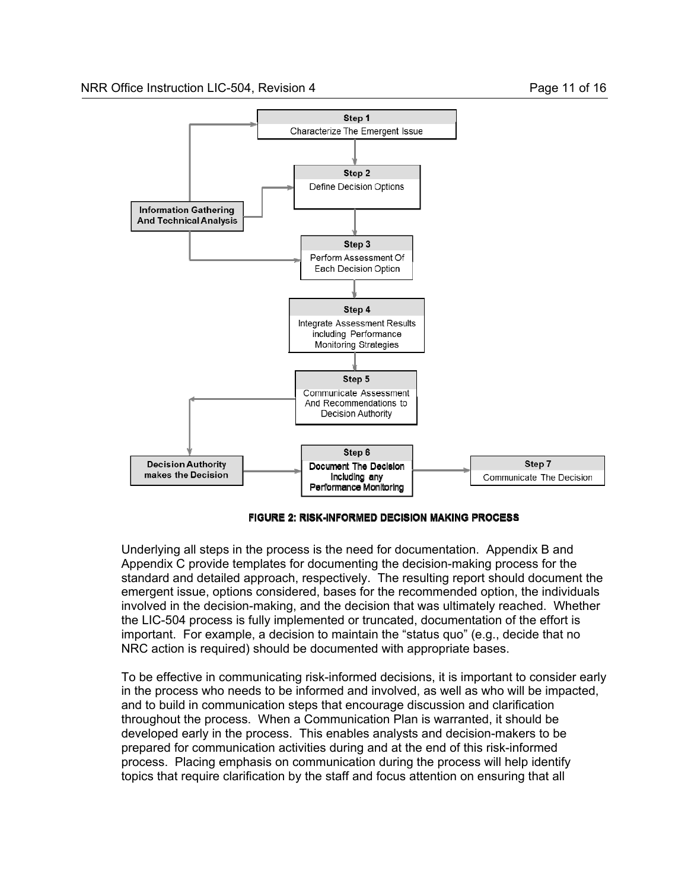

#### **FIGURE 2: RISK-INFORMED DECISION MAKING PROCESS**

Underlying all steps in the process is the need for documentation. Appendix B and Appendix C provide templates for documenting the decision-making process for the standard and detailed approach, respectively. The resulting report should document the emergent issue, options considered, bases for the recommended option, the individuals involved in the decision-making, and the decision that was ultimately reached. Whether the LIC-504 process is fully implemented or truncated, documentation of the effort is important. For example, a decision to maintain the "status quo" (e.g., decide that no NRC action is required) should be documented with appropriate bases.

To be effective in communicating risk-informed decisions, it is important to consider early in the process who needs to be informed and involved, as well as who will be impacted, and to build in communication steps that encourage discussion and clarification throughout the process. When a Communication Plan is warranted, it should be developed early in the process. This enables analysts and decision-makers to be prepared for communication activities during and at the end of this risk-informed process. Placing emphasis on communication during the process will help identify topics that require clarification by the staff and focus attention on ensuring that all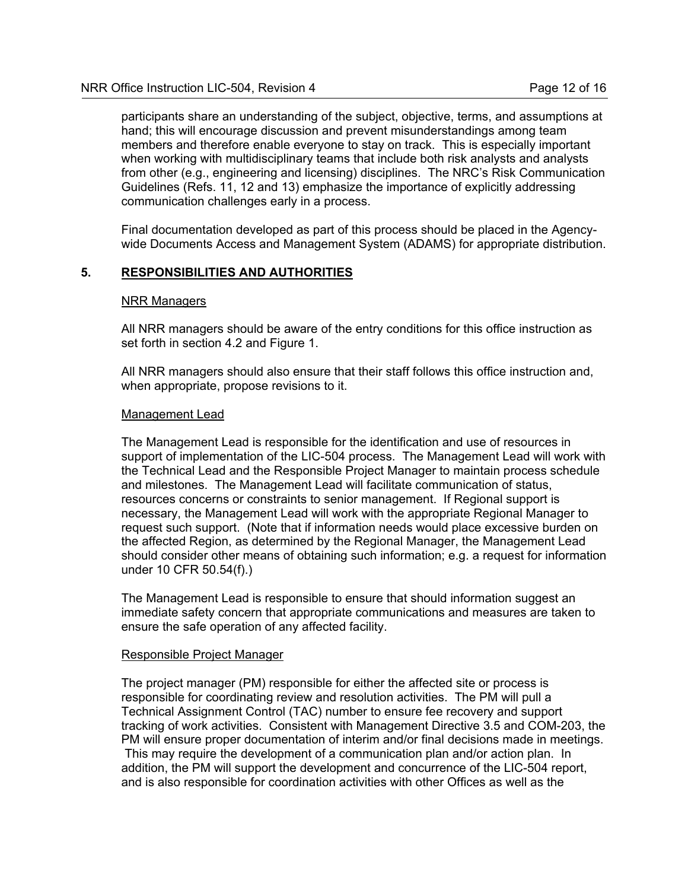participants share an understanding of the subject, objective, terms, and assumptions at hand; this will encourage discussion and prevent misunderstandings among team members and therefore enable everyone to stay on track. This is especially important when working with multidisciplinary teams that include both risk analysts and analysts from other (e.g., engineering and licensing) disciplines. The NRC's Risk Communication Guidelines (Refs. 11, 12 and 13) emphasize the importance of explicitly addressing communication challenges early in a process.

Final documentation developed as part of this process should be placed in the Agencywide Documents Access and Management System (ADAMS) for appropriate distribution.

# **5. RESPONSIBILITIES AND AUTHORITIES**

#### NRR Managers

All NRR managers should be aware of the entry conditions for this office instruction as set forth in section 4.2 and Figure 1.

All NRR managers should also ensure that their staff follows this office instruction and, when appropriate, propose revisions to it.

#### Management Lead

The Management Lead is responsible for the identification and use of resources in support of implementation of the LIC-504 process. The Management Lead will work with the Technical Lead and the Responsible Project Manager to maintain process schedule and milestones. The Management Lead will facilitate communication of status, resources concerns or constraints to senior management. If Regional support is necessary, the Management Lead will work with the appropriate Regional Manager to request such support. (Note that if information needs would place excessive burden on the affected Region, as determined by the Regional Manager, the Management Lead should consider other means of obtaining such information; e.g. a request for information under 10 CFR 50.54(f).)

The Management Lead is responsible to ensure that should information suggest an immediate safety concern that appropriate communications and measures are taken to ensure the safe operation of any affected facility.

#### Responsible Project Manager

The project manager (PM) responsible for either the affected site or process is responsible for coordinating review and resolution activities. The PM will pull a Technical Assignment Control (TAC) number to ensure fee recovery and support tracking of work activities. Consistent with Management Directive 3.5 and COM-203, the PM will ensure proper documentation of interim and/or final decisions made in meetings. This may require the development of a communication plan and/or action plan. In addition, the PM will support the development and concurrence of the LIC-504 report, and is also responsible for coordination activities with other Offices as well as the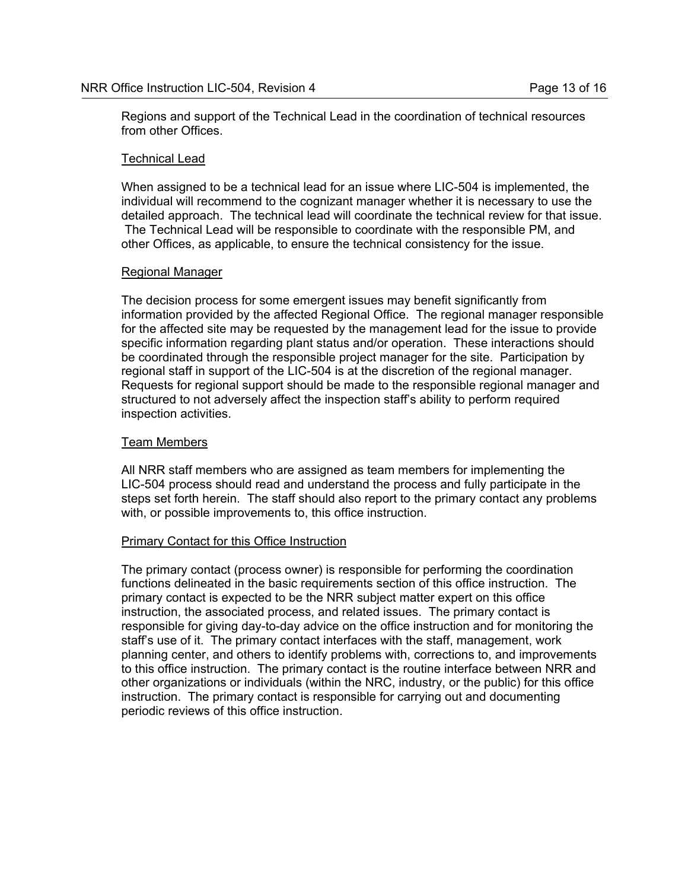Regions and support of the Technical Lead in the coordination of technical resources from other Offices.

#### Technical Lead

When assigned to be a technical lead for an issue where LIC-504 is implemented, the individual will recommend to the cognizant manager whether it is necessary to use the detailed approach. The technical lead will coordinate the technical review for that issue. The Technical Lead will be responsible to coordinate with the responsible PM, and other Offices, as applicable, to ensure the technical consistency for the issue.

# Regional Manager

The decision process for some emergent issues may benefit significantly from information provided by the affected Regional Office. The regional manager responsible for the affected site may be requested by the management lead for the issue to provide specific information regarding plant status and/or operation. These interactions should be coordinated through the responsible project manager for the site. Participation by regional staff in support of the LIC-504 is at the discretion of the regional manager. Requests for regional support should be made to the responsible regional manager and structured to not adversely affect the inspection staff's ability to perform required inspection activities.

# Team Members

All NRR staff members who are assigned as team members for implementing the LIC-504 process should read and understand the process and fully participate in the steps set forth herein. The staff should also report to the primary contact any problems with, or possible improvements to, this office instruction.

#### Primary Contact for this Office Instruction

The primary contact (process owner) is responsible for performing the coordination functions delineated in the basic requirements section of this office instruction. The primary contact is expected to be the NRR subject matter expert on this office instruction, the associated process, and related issues. The primary contact is responsible for giving day-to-day advice on the office instruction and for monitoring the staff's use of it. The primary contact interfaces with the staff, management, work planning center, and others to identify problems with, corrections to, and improvements to this office instruction. The primary contact is the routine interface between NRR and other organizations or individuals (within the NRC, industry, or the public) for this office instruction. The primary contact is responsible for carrying out and documenting periodic reviews of this office instruction.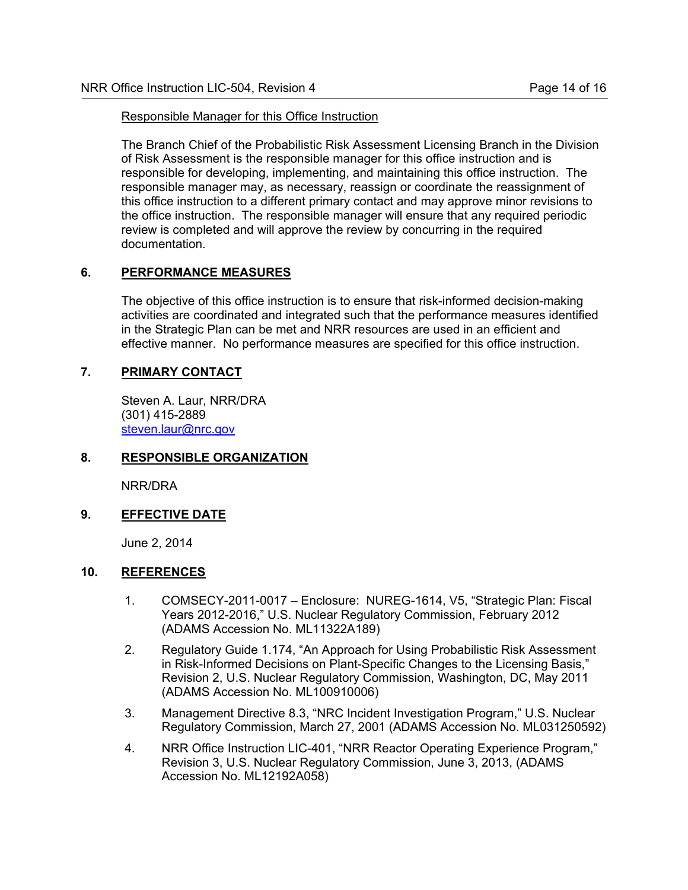#### Responsible Manager for this Office Instruction

The Branch Chief of the Probabilistic Risk Assessment Licensing Branch in the Division of Risk Assessment is the responsible manager for this office instruction and is responsible for developing, implementing, and maintaining this office instruction. The responsible manager may, as necessary, reassign or coordinate the reassignment of this office instruction to a different primary contact and may approve minor revisions to the office instruction. The responsible manager will ensure that any required periodic review is completed and will approve the review by concurring in the required documentation.

# **6. PERFORMANCE MEASURES**

The objective of this office instruction is to ensure that risk-informed decision-making activities are coordinated and integrated such that the performance measures identified in the Strategic Plan can be met and NRR resources are used in an efficient and effective manner. No performance measures are specified for this office instruction.

# **7. PRIMARY CONTACT**

Steven A. Laur, NRR/DRA (301) 415-2889 steven.laur@nrc.gov

#### **8. RESPONSIBLE ORGANIZATION**

NRR/DRA

# **9. EFFECTIVE DATE**

June 2, 2014

#### **10. REFERENCES**

- 1. COMSECY-2011-0017 Enclosure: NUREG-1614, V5, "Strategic Plan: Fiscal Years 2012-2016," U.S. Nuclear Regulatory Commission, February 2012 (ADAMS Accession No. ML11322A189)
- 2. Regulatory Guide 1.174, "An Approach for Using Probabilistic Risk Assessment in Risk-Informed Decisions on Plant-Specific Changes to the Licensing Basis," Revision 2, U.S. Nuclear Regulatory Commission, Washington, DC, May 2011 (ADAMS Accession No. ML100910006)
- 3. Management Directive 8.3, "NRC Incident Investigation Program," U.S. Nuclear Regulatory Commission, March 27, 2001 (ADAMS Accession No. ML031250592)
- 4. NRR Office Instruction LIC-401, "NRR Reactor Operating Experience Program," Revision 3, U.S. Nuclear Regulatory Commission, June 3, 2013, (ADAMS Accession No. ML12192A058)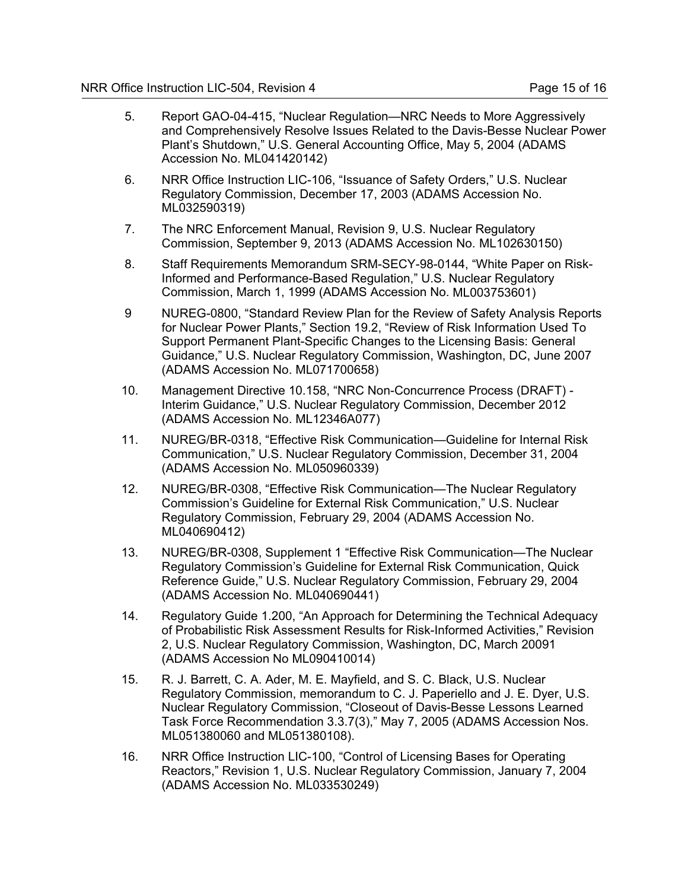- 5. Report GAO-04-415, "Nuclear Regulation—NRC Needs to More Aggressively and Comprehensively Resolve Issues Related to the Davis-Besse Nuclear Power Plant's Shutdown," U.S. General Accounting Office, May 5, 2004 (ADAMS Accession No. ML041420142)
- 6. NRR Office Instruction LIC-106, "Issuance of Safety Orders," U.S. Nuclear Regulatory Commission, December 17, 2003 (ADAMS Accession No. ML032590319)
- 7. The NRC Enforcement Manual, Revision 9, U.S. Nuclear Regulatory Commission, September 9, 2013 (ADAMS Accession No. ML102630150)
- 8. Staff Requirements Memorandum SRM-SECY-98-0144, "White Paper on Risk-Informed and Performance-Based Regulation," U.S. Nuclear Regulatory Commission, March 1, 1999 (ADAMS Accession No. ML003753601)
- 9 NUREG-0800, "Standard Review Plan for the Review of Safety Analysis Reports for Nuclear Power Plants," Section 19.2, "Review of Risk Information Used To Support Permanent Plant-Specific Changes to the Licensing Basis: General Guidance," U.S. Nuclear Regulatory Commission, Washington, DC, June 2007 (ADAMS Accession No. ML071700658)
- 10. Management Directive 10.158, "NRC Non-Concurrence Process (DRAFT) Interim Guidance," U.S. Nuclear Regulatory Commission, December 2012 (ADAMS Accession No. ML12346A077)
- 11. NUREG/BR-0318, "Effective Risk Communication—Guideline for Internal Risk Communication," U.S. Nuclear Regulatory Commission, December 31, 2004 (ADAMS Accession No. ML050960339)
- 12. NUREG/BR-0308, "Effective Risk Communication—The Nuclear Regulatory Commission's Guideline for External Risk Communication," U.S. Nuclear Regulatory Commission, February 29, 2004 (ADAMS Accession No. ML040690412)
- 13. NUREG/BR-0308, Supplement 1 "Effective Risk Communication—The Nuclear Regulatory Commission's Guideline for External Risk Communication, Quick Reference Guide," U.S. Nuclear Regulatory Commission, February 29, 2004 (ADAMS Accession No. ML040690441)
- 14. Regulatory Guide 1.200, "An Approach for Determining the Technical Adequacy of Probabilistic Risk Assessment Results for Risk-Informed Activities," Revision 2, U.S. Nuclear Regulatory Commission, Washington, DC, March 20091 (ADAMS Accession No ML090410014)
- 15. R. J. Barrett, C. A. Ader, M. E. Mayfield, and S. C. Black, U.S. Nuclear Regulatory Commission, memorandum to C. J. Paperiello and J. E. Dyer, U.S. Nuclear Regulatory Commission, "Closeout of Davis-Besse Lessons Learned Task Force Recommendation 3.3.7(3)," May 7, 2005 (ADAMS Accession Nos. ML051380060 and ML051380108).
- 16. NRR Office Instruction LIC-100, "Control of Licensing Bases for Operating Reactors," Revision 1, U.S. Nuclear Regulatory Commission, January 7, 2004 (ADAMS Accession No. ML033530249)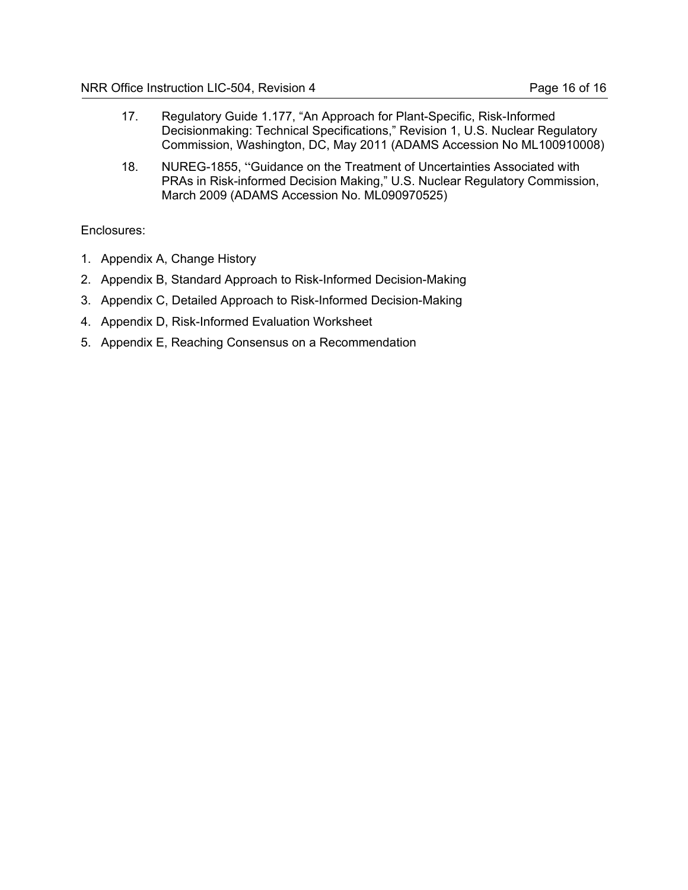- 17. Regulatory Guide 1.177, "An Approach for Plant-Specific, Risk-Informed Decisionmaking: Technical Specifications," Revision 1, U.S. Nuclear Regulatory Commission, Washington, DC, May 2011 (ADAMS Accession No ML100910008)
- 18. NUREG-1855, "Guidance on the Treatment of Uncertainties Associated with PRAs in Risk-informed Decision Making," U.S. Nuclear Regulatory Commission, March 2009 (ADAMS Accession No. ML090970525)

# Enclosures:

- 1. Appendix A, Change History
- 2. Appendix B, Standard Approach to Risk-Informed Decision-Making
- 3. Appendix C, Detailed Approach to Risk-Informed Decision-Making
- 4. Appendix D, Risk-Informed Evaluation Worksheet
- 5. Appendix E, Reaching Consensus on a Recommendation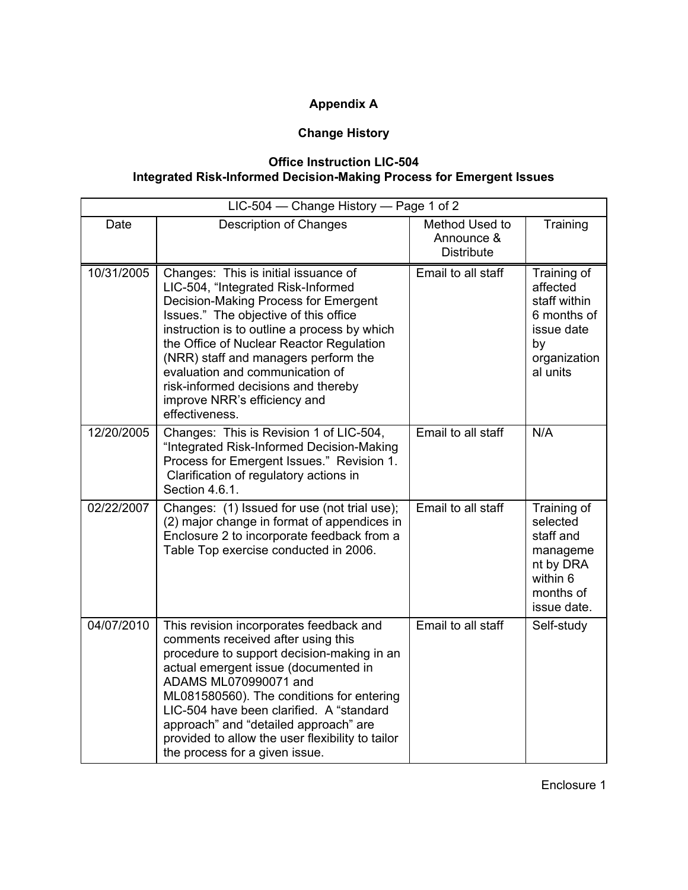# **Appendix A**

# **Change History**

# **Office Instruction LIC-504 Integrated Risk-Informed Decision-Making Process for Emergent Issues**

|            | LIC-504 - Change History - Page 1 of 2                                                                                                                                                                                                                                                                                                                                                                                      |                                                   |                                                                                                        |
|------------|-----------------------------------------------------------------------------------------------------------------------------------------------------------------------------------------------------------------------------------------------------------------------------------------------------------------------------------------------------------------------------------------------------------------------------|---------------------------------------------------|--------------------------------------------------------------------------------------------------------|
| Date       | <b>Description of Changes</b>                                                                                                                                                                                                                                                                                                                                                                                               | Method Used to<br>Announce &<br><b>Distribute</b> | Training                                                                                               |
| 10/31/2005 | Changes: This is initial issuance of<br>LIC-504, "Integrated Risk-Informed<br>Decision-Making Process for Emergent<br>Issues." The objective of this office<br>instruction is to outline a process by which<br>the Office of Nuclear Reactor Regulation<br>(NRR) staff and managers perform the<br>evaluation and communication of<br>risk-informed decisions and thereby<br>improve NRR's efficiency and<br>effectiveness. | Email to all staff                                | Training of<br>affected<br>staff within<br>6 months of<br>issue date<br>by<br>organization<br>al units |
| 12/20/2005 | Changes: This is Revision 1 of LIC-504,<br>"Integrated Risk-Informed Decision-Making<br>Process for Emergent Issues." Revision 1.<br>Clarification of regulatory actions in<br>Section 4.6.1.                                                                                                                                                                                                                               | Email to all staff                                | N/A                                                                                                    |
| 02/22/2007 | Changes: (1) Issued for use (not trial use);<br>(2) major change in format of appendices in<br>Enclosure 2 to incorporate feedback from a<br>Table Top exercise conducted in 2006.                                                                                                                                                                                                                                          | Email to all staff                                | Training of<br>selected<br>staff and<br>manageme<br>nt by DRA<br>within 6<br>months of<br>issue date.  |
| 04/07/2010 | This revision incorporates feedback and<br>comments received after using this<br>procedure to support decision-making in an<br>actual emergent issue (documented in<br>ADAMS ML070990071 and<br>ML081580560). The conditions for entering<br>LIC-504 have been clarified. A "standard<br>approach" and "detailed approach" are<br>provided to allow the user flexibility to tailor<br>the process for a given issue.        | Email to all staff                                | Self-study                                                                                             |

Enclosure 1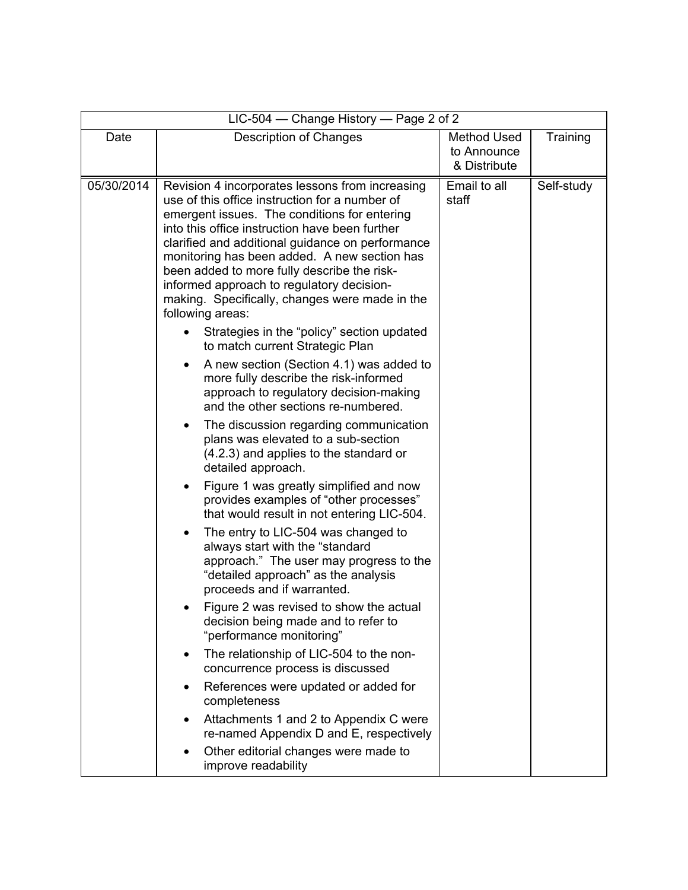|            | LIC-504 – Change History – Page 2 of 2                                                                                                                                                                                                                                                                                                                                                                                                                                                                                                                                                                                                                                                                                                                                                                                                                                                                                                                                                                                                                                                                                                                                                                                                                                                                                                                                                                                                                                                                                          |                                                   |            |
|------------|---------------------------------------------------------------------------------------------------------------------------------------------------------------------------------------------------------------------------------------------------------------------------------------------------------------------------------------------------------------------------------------------------------------------------------------------------------------------------------------------------------------------------------------------------------------------------------------------------------------------------------------------------------------------------------------------------------------------------------------------------------------------------------------------------------------------------------------------------------------------------------------------------------------------------------------------------------------------------------------------------------------------------------------------------------------------------------------------------------------------------------------------------------------------------------------------------------------------------------------------------------------------------------------------------------------------------------------------------------------------------------------------------------------------------------------------------------------------------------------------------------------------------------|---------------------------------------------------|------------|
| Date       | <b>Description of Changes</b>                                                                                                                                                                                                                                                                                                                                                                                                                                                                                                                                                                                                                                                                                                                                                                                                                                                                                                                                                                                                                                                                                                                                                                                                                                                                                                                                                                                                                                                                                                   | <b>Method Used</b><br>to Announce<br>& Distribute | Training   |
| 05/30/2014 | Revision 4 incorporates lessons from increasing<br>use of this office instruction for a number of<br>emergent issues. The conditions for entering<br>into this office instruction have been further<br>clarified and additional guidance on performance<br>monitoring has been added. A new section has<br>been added to more fully describe the risk-<br>informed approach to regulatory decision-<br>making. Specifically, changes were made in the<br>following areas:<br>Strategies in the "policy" section updated<br>to match current Strategic Plan<br>A new section (Section 4.1) was added to<br>more fully describe the risk-informed<br>approach to regulatory decision-making<br>and the other sections re-numbered.<br>The discussion regarding communication<br>plans was elevated to a sub-section<br>(4.2.3) and applies to the standard or<br>detailed approach.<br>Figure 1 was greatly simplified and now<br>provides examples of "other processes"<br>that would result in not entering LIC-504.<br>The entry to LIC-504 was changed to<br>always start with the "standard<br>approach." The user may progress to the<br>"detailed approach" as the analysis<br>proceeds and if warranted.<br>Figure 2 was revised to show the actual<br>decision being made and to refer to<br>"performance monitoring"<br>The relationship of LIC-504 to the non-<br>$\bullet$<br>concurrence process is discussed<br>References were updated or added for<br>٠<br>completeness<br>Attachments 1 and 2 to Appendix C were | Email to all<br>staff                             | Self-study |
|            | re-named Appendix D and E, respectively<br>Other editorial changes were made to<br>$\bullet$<br>improve readability                                                                                                                                                                                                                                                                                                                                                                                                                                                                                                                                                                                                                                                                                                                                                                                                                                                                                                                                                                                                                                                                                                                                                                                                                                                                                                                                                                                                             |                                                   |            |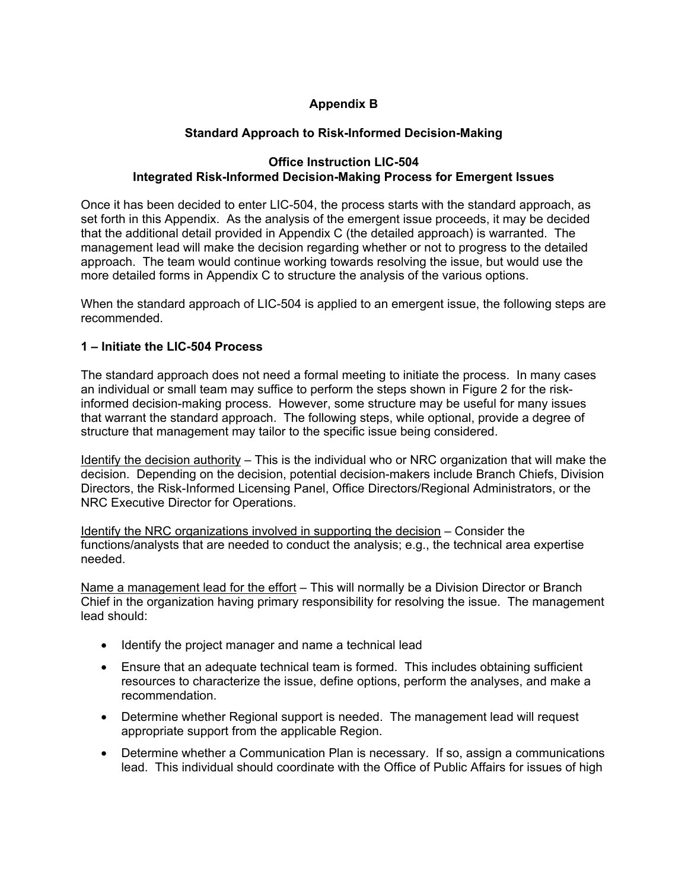# **Appendix B**

# **Standard Approach to Risk-Informed Decision-Making**

# **Office Instruction LIC-504 Integrated Risk-Informed Decision-Making Process for Emergent Issues**

Once it has been decided to enter LIC-504, the process starts with the standard approach, as set forth in this Appendix. As the analysis of the emergent issue proceeds, it may be decided that the additional detail provided in Appendix C (the detailed approach) is warranted. The management lead will make the decision regarding whether or not to progress to the detailed approach. The team would continue working towards resolving the issue, but would use the more detailed forms in Appendix C to structure the analysis of the various options.

When the standard approach of LIC-504 is applied to an emergent issue, the following steps are recommended.

# **1 – Initiate the LIC-504 Process**

The standard approach does not need a formal meeting to initiate the process. In many cases an individual or small team may suffice to perform the steps shown in Figure 2 for the riskinformed decision-making process. However, some structure may be useful for many issues that warrant the standard approach. The following steps, while optional, provide a degree of structure that management may tailor to the specific issue being considered.

Identify the decision authority – This is the individual who or NRC organization that will make the decision. Depending on the decision, potential decision-makers include Branch Chiefs, Division Directors, the Risk-Informed Licensing Panel, Office Directors/Regional Administrators, or the NRC Executive Director for Operations.

Identify the NRC organizations involved in supporting the decision – Consider the functions/analysts that are needed to conduct the analysis; e.g., the technical area expertise needed.

Name a management lead for the effort - This will normally be a Division Director or Branch Chief in the organization having primary responsibility for resolving the issue. The management lead should:

- Identify the project manager and name a technical lead
- Ensure that an adequate technical team is formed. This includes obtaining sufficient resources to characterize the issue, define options, perform the analyses, and make a recommendation.
- Determine whether Regional support is needed. The management lead will request appropriate support from the applicable Region.
- Determine whether a Communication Plan is necessary. If so, assign a communications lead. This individual should coordinate with the Office of Public Affairs for issues of high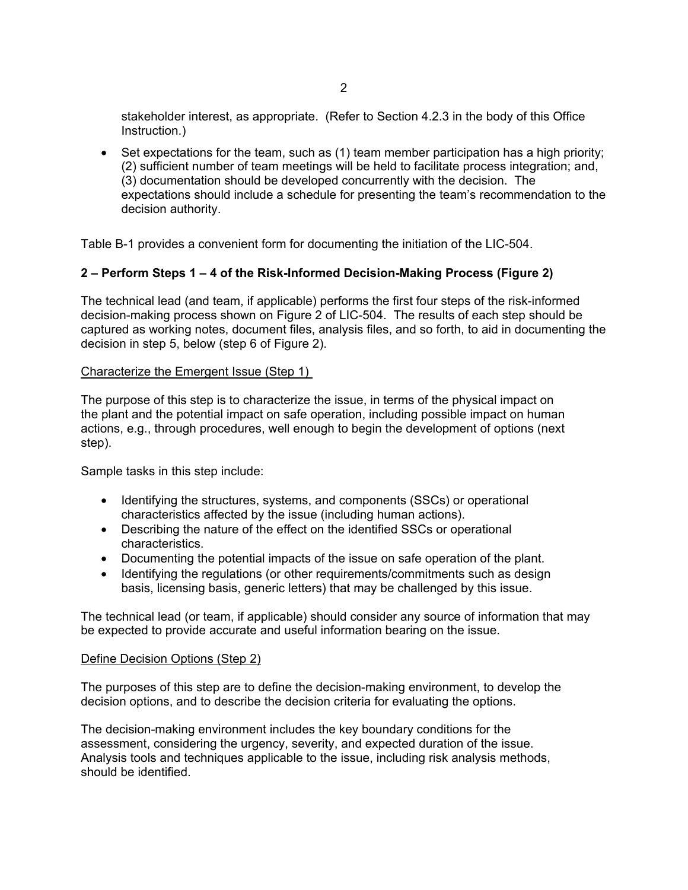stakeholder interest, as appropriate. (Refer to Section 4.2.3 in the body of this Office Instruction.)

• Set expectations for the team, such as (1) team member participation has a high priority; (2) sufficient number of team meetings will be held to facilitate process integration; and, (3) documentation should be developed concurrently with the decision. The expectations should include a schedule for presenting the team's recommendation to the decision authority.

Table B-1 provides a convenient form for documenting the initiation of the LIC-504.

# **2 – Perform Steps 1 – 4 of the Risk-Informed Decision-Making Process (Figure 2)**

The technical lead (and team, if applicable) performs the first four steps of the risk-informed decision-making process shown on Figure 2 of LIC-504. The results of each step should be captured as working notes, document files, analysis files, and so forth, to aid in documenting the decision in step 5, below (step 6 of Figure 2).

# Characterize the Emergent Issue (Step 1)

The purpose of this step is to characterize the issue, in terms of the physical impact on the plant and the potential impact on safe operation, including possible impact on human actions, e.g., through procedures, well enough to begin the development of options (next step).

Sample tasks in this step include:

- Identifying the structures, systems, and components (SSCs) or operational characteristics affected by the issue (including human actions).
- Describing the nature of the effect on the identified SSCs or operational characteristics.
- Documenting the potential impacts of the issue on safe operation of the plant.
- Identifying the regulations (or other requirements/commitments such as design basis, licensing basis, generic letters) that may be challenged by this issue.

The technical lead (or team, if applicable) should consider any source of information that may be expected to provide accurate and useful information bearing on the issue.

#### Define Decision Options (Step 2)

The purposes of this step are to define the decision-making environment, to develop the decision options, and to describe the decision criteria for evaluating the options.

The decision-making environment includes the key boundary conditions for the assessment, considering the urgency, severity, and expected duration of the issue. Analysis tools and techniques applicable to the issue, including risk analysis methods, should be identified.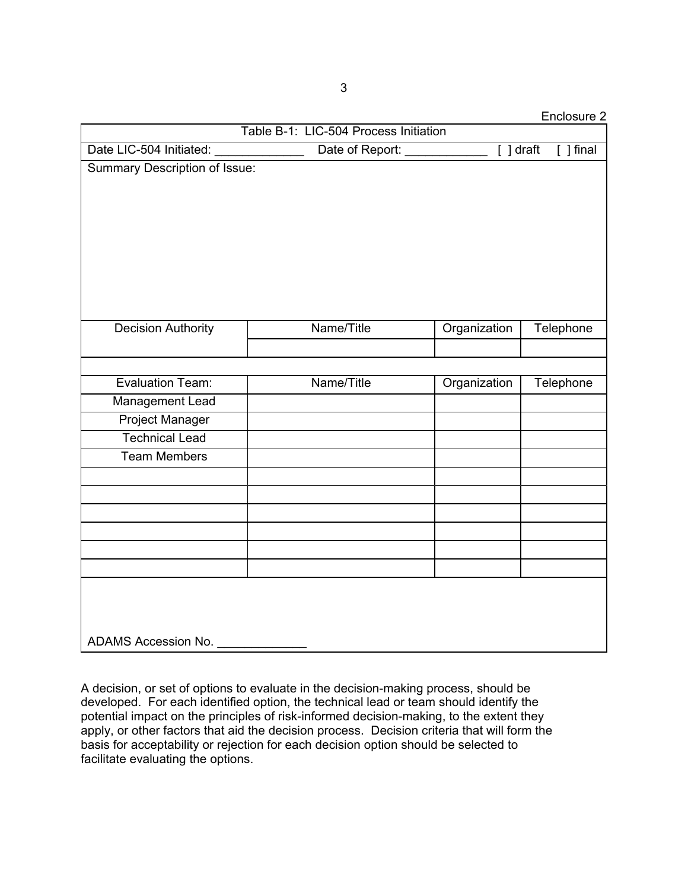Enclosure 2

|                                      | Table B-1: LIC-504 Process Initiation |              | ----------  |
|--------------------------------------|---------------------------------------|--------------|-------------|
| Date LIC-504 Initiated:              | Date of Report: _                     | $[ ]$ draft  | $[ ]$ final |
| <b>Summary Description of Issue:</b> |                                       |              |             |
| <b>Decision Authority</b>            | Name/Title                            | Organization | Telephone   |
|                                      |                                       |              |             |
| <b>Evaluation Team:</b>              | Name/Title                            | Organization | Telephone   |
| Management Lead                      |                                       |              |             |
| <b>Project Manager</b>               |                                       |              |             |
| <b>Technical Lead</b>                |                                       |              |             |
| <b>Team Members</b>                  |                                       |              |             |
|                                      |                                       |              |             |
|                                      |                                       |              |             |
|                                      |                                       |              |             |
|                                      |                                       |              |             |
|                                      |                                       |              |             |
|                                      |                                       |              |             |
| ADAMS Accession No.                  |                                       |              |             |

A decision, or set of options to evaluate in the decision-making process, should be developed. For each identified option, the technical lead or team should identify the potential impact on the principles of risk-informed decision-making, to the extent they apply, or other factors that aid the decision process. Decision criteria that will form the basis for acceptability or rejection for each decision option should be selected to facilitate evaluating the options.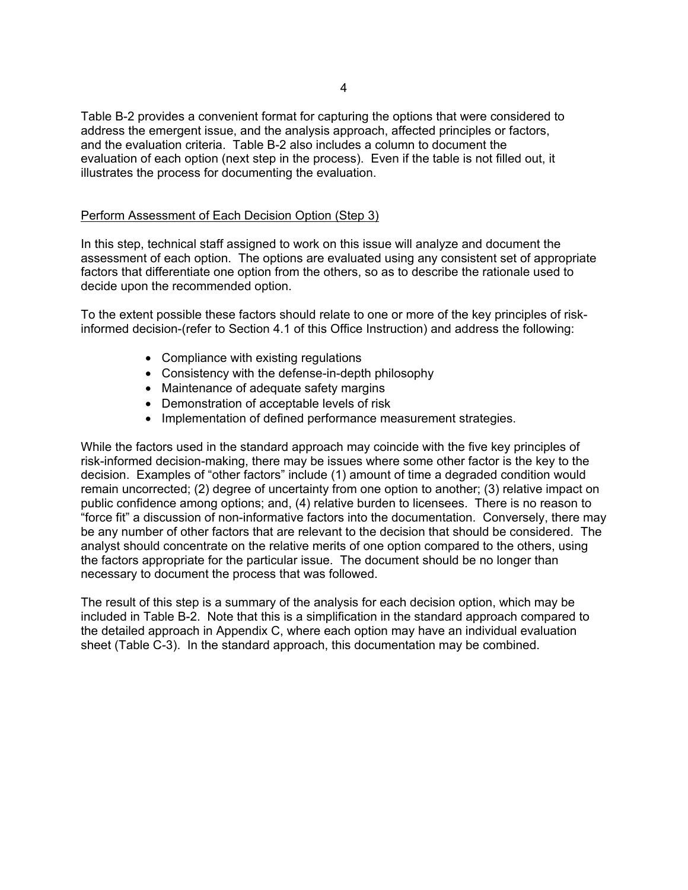Table B-2 provides a convenient format for capturing the options that were considered to address the emergent issue, and the analysis approach, affected principles or factors, and the evaluation criteria. Table B-2 also includes a column to document the evaluation of each option (next step in the process). Even if the table is not filled out, it illustrates the process for documenting the evaluation.

#### Perform Assessment of Each Decision Option (Step 3)

In this step, technical staff assigned to work on this issue will analyze and document the assessment of each option. The options are evaluated using any consistent set of appropriate factors that differentiate one option from the others, so as to describe the rationale used to decide upon the recommended option.

To the extent possible these factors should relate to one or more of the key principles of riskinformed decision-(refer to Section 4.1 of this Office Instruction) and address the following:

- Compliance with existing regulations
- Consistency with the defense-in-depth philosophy
- Maintenance of adequate safety margins
- Demonstration of acceptable levels of risk
- Implementation of defined performance measurement strategies.

While the factors used in the standard approach may coincide with the five key principles of risk-informed decision-making, there may be issues where some other factor is the key to the decision. Examples of "other factors" include (1) amount of time a degraded condition would remain uncorrected; (2) degree of uncertainty from one option to another; (3) relative impact on public confidence among options; and, (4) relative burden to licensees. There is no reason to "force fit" a discussion of non-informative factors into the documentation. Conversely, there may be any number of other factors that are relevant to the decision that should be considered. The analyst should concentrate on the relative merits of one option compared to the others, using the factors appropriate for the particular issue. The document should be no longer than necessary to document the process that was followed.

The result of this step is a summary of the analysis for each decision option, which may be included in Table B-2. Note that this is a simplification in the standard approach compared to the detailed approach in Appendix C, where each option may have an individual evaluation sheet (Table C-3). In the standard approach, this documentation may be combined.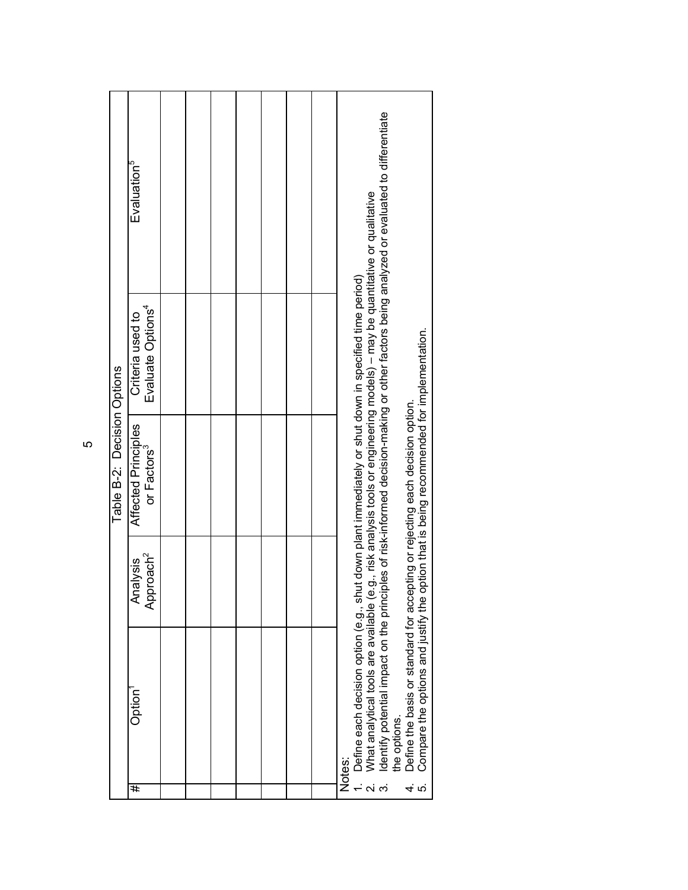|     |                                                                                                                                                                                                                                                                                                                                                                                                                                  |                                            | Table B-2: Decision Options                          |                                                   |                                                                                                      |  |
|-----|----------------------------------------------------------------------------------------------------------------------------------------------------------------------------------------------------------------------------------------------------------------------------------------------------------------------------------------------------------------------------------------------------------------------------------|--------------------------------------------|------------------------------------------------------|---------------------------------------------------|------------------------------------------------------------------------------------------------------|--|
| #   | Option                                                                                                                                                                                                                                                                                                                                                                                                                           | proach <sup>2</sup><br>sisylisi<br>₹<br>Äp | Affected Principles<br>or Factors <sup>3</sup>       | Evaluate Options <sup>4</sup><br>Criteria used to | Evaluation <sup>5</sup>                                                                              |  |
|     |                                                                                                                                                                                                                                                                                                                                                                                                                                  |                                            |                                                      |                                                   |                                                                                                      |  |
|     |                                                                                                                                                                                                                                                                                                                                                                                                                                  |                                            |                                                      |                                                   |                                                                                                      |  |
|     |                                                                                                                                                                                                                                                                                                                                                                                                                                  |                                            |                                                      |                                                   |                                                                                                      |  |
|     |                                                                                                                                                                                                                                                                                                                                                                                                                                  |                                            |                                                      |                                                   |                                                                                                      |  |
|     |                                                                                                                                                                                                                                                                                                                                                                                                                                  |                                            |                                                      |                                                   |                                                                                                      |  |
|     |                                                                                                                                                                                                                                                                                                                                                                                                                                  |                                            |                                                      |                                                   |                                                                                                      |  |
|     |                                                                                                                                                                                                                                                                                                                                                                                                                                  |                                            |                                                      |                                                   |                                                                                                      |  |
| ယ္ပ | What analytical tools are available (e.g., risk analysis tools or engineering models) - may be quantitative or qualitative<br>Define each decision option (e.g., shut down plant immediately or shut down in specified time period)<br>Define the basis or standard for accepting or rejecting each decision option.<br>Identify potential impact on the princi<br>Compare the options and justify the<br>the options.<br>Notes: |                                            | option that is being recommended for implementation. |                                                   | iples of risk-informed decision-making or other factors being analyzed or evaluated to differentiate |  |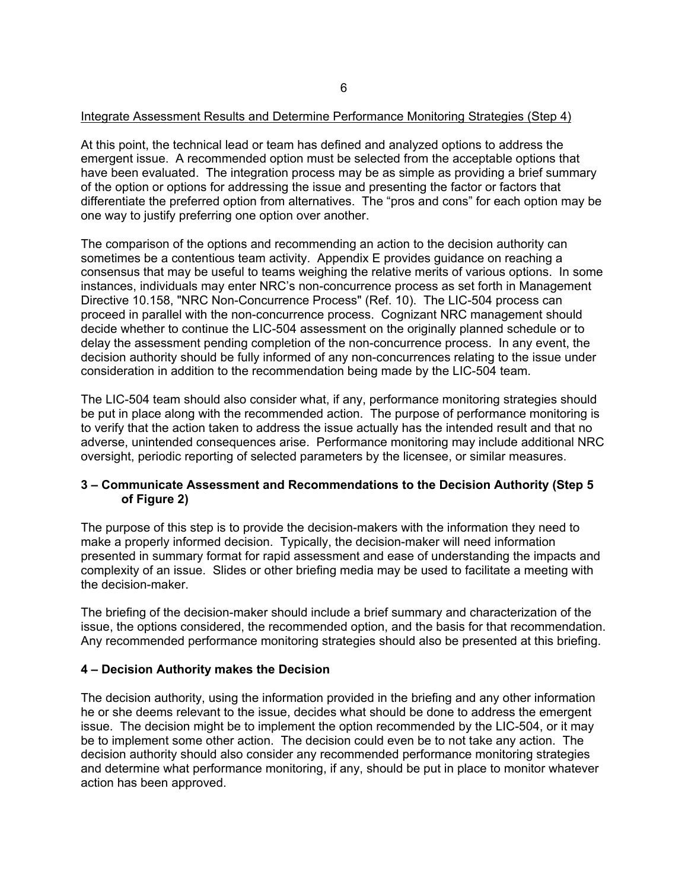# Integrate Assessment Results and Determine Performance Monitoring Strategies (Step 4)

At this point, the technical lead or team has defined and analyzed options to address the emergent issue. A recommended option must be selected from the acceptable options that have been evaluated. The integration process may be as simple as providing a brief summary of the option or options for addressing the issue and presenting the factor or factors that differentiate the preferred option from alternatives. The "pros and cons" for each option may be one way to justify preferring one option over another.

The comparison of the options and recommending an action to the decision authority can sometimes be a contentious team activity. Appendix E provides guidance on reaching a consensus that may be useful to teams weighing the relative merits of various options. In some instances, individuals may enter NRC's non-concurrence process as set forth in Management Directive 10.158, "NRC Non-Concurrence Process" (Ref. 10). The LIC-504 process can proceed in parallel with the non-concurrence process. Cognizant NRC management should decide whether to continue the LIC-504 assessment on the originally planned schedule or to delay the assessment pending completion of the non-concurrence process. In any event, the decision authority should be fully informed of any non-concurrences relating to the issue under consideration in addition to the recommendation being made by the LIC-504 team.

The LIC-504 team should also consider what, if any, performance monitoring strategies should be put in place along with the recommended action. The purpose of performance monitoring is to verify that the action taken to address the issue actually has the intended result and that no adverse, unintended consequences arise. Performance monitoring may include additional NRC oversight, periodic reporting of selected parameters by the licensee, or similar measures.

# **3 – Communicate Assessment and Recommendations to the Decision Authority (Step 5 of Figure 2)**

The purpose of this step is to provide the decision-makers with the information they need to make a properly informed decision. Typically, the decision-maker will need information presented in summary format for rapid assessment and ease of understanding the impacts and complexity of an issue. Slides or other briefing media may be used to facilitate a meeting with the decision-maker.

The briefing of the decision-maker should include a brief summary and characterization of the issue, the options considered, the recommended option, and the basis for that recommendation. Any recommended performance monitoring strategies should also be presented at this briefing.

#### **4 – Decision Authority makes the Decision**

The decision authority, using the information provided in the briefing and any other information he or she deems relevant to the issue, decides what should be done to address the emergent issue. The decision might be to implement the option recommended by the LIC-504, or it may be to implement some other action. The decision could even be to not take any action. The decision authority should also consider any recommended performance monitoring strategies and determine what performance monitoring, if any, should be put in place to monitor whatever action has been approved.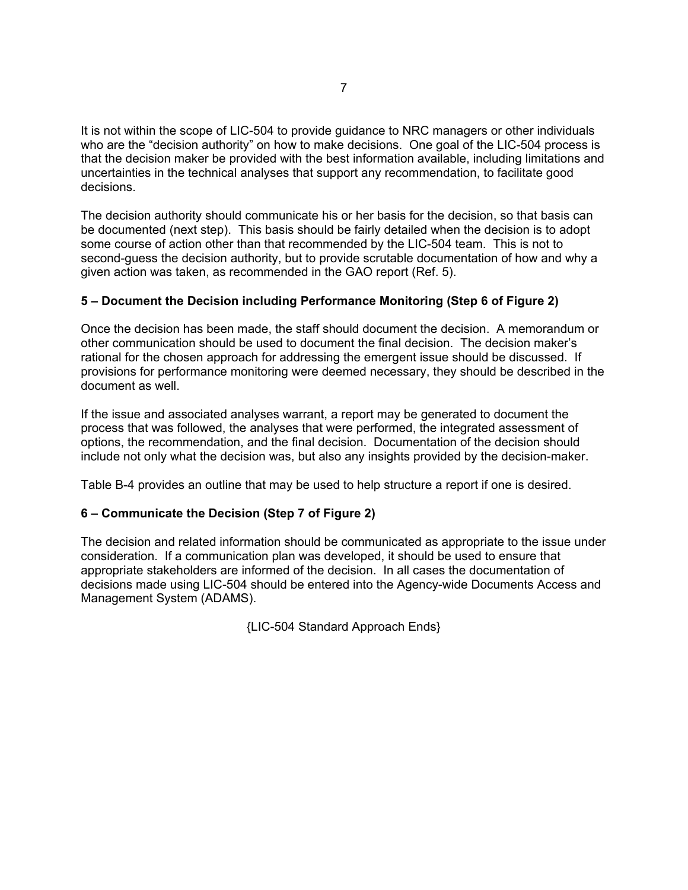It is not within the scope of LIC-504 to provide guidance to NRC managers or other individuals who are the "decision authority" on how to make decisions. One goal of the LIC-504 process is that the decision maker be provided with the best information available, including limitations and uncertainties in the technical analyses that support any recommendation, to facilitate good decisions.

The decision authority should communicate his or her basis for the decision, so that basis can be documented (next step). This basis should be fairly detailed when the decision is to adopt some course of action other than that recommended by the LIC-504 team. This is not to second-guess the decision authority, but to provide scrutable documentation of how and why a given action was taken, as recommended in the GAO report (Ref. 5).

# **5 – Document the Decision including Performance Monitoring (Step 6 of Figure 2)**

Once the decision has been made, the staff should document the decision. A memorandum or other communication should be used to document the final decision. The decision maker's rational for the chosen approach for addressing the emergent issue should be discussed. If provisions for performance monitoring were deemed necessary, they should be described in the document as well.

If the issue and associated analyses warrant, a report may be generated to document the process that was followed, the analyses that were performed, the integrated assessment of options, the recommendation, and the final decision. Documentation of the decision should include not only what the decision was, but also any insights provided by the decision-maker.

Table B-4 provides an outline that may be used to help structure a report if one is desired.

# **6 – Communicate the Decision (Step 7 of Figure 2)**

The decision and related information should be communicated as appropriate to the issue under consideration. If a communication plan was developed, it should be used to ensure that appropriate stakeholders are informed of the decision. In all cases the documentation of decisions made using LIC-504 should be entered into the Agency-wide Documents Access and Management System (ADAMS).

{LIC-504 Standard Approach Ends}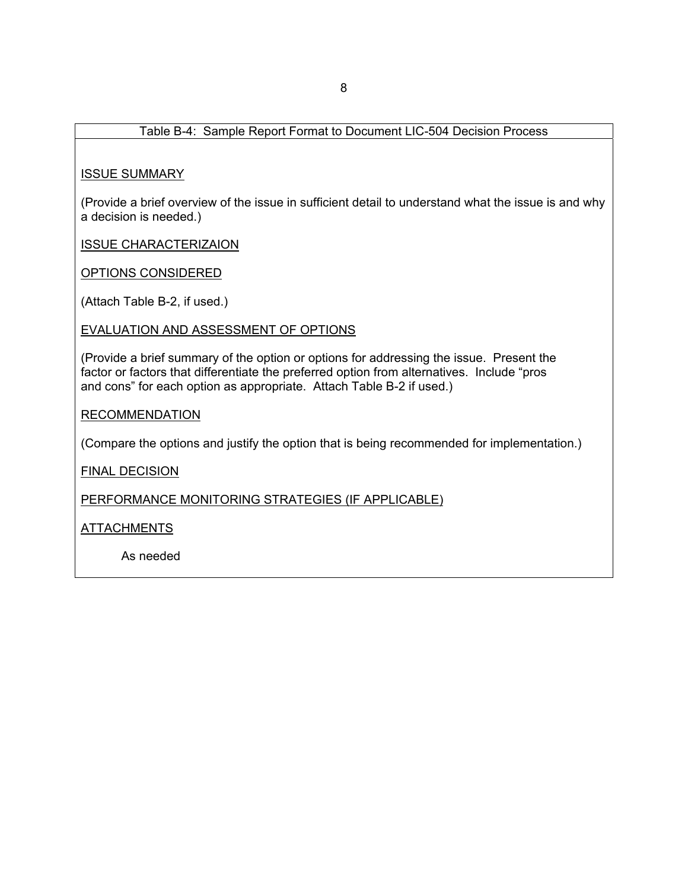# Table B-4: Sample Report Format to Document LIC-504 Decision Process

#### ISSUE SUMMARY

(Provide a brief overview of the issue in sufficient detail to understand what the issue is and why a decision is needed.)

ISSUE CHARACTERIZAION

OPTIONS CONSIDERED

(Attach Table B-2, if used.)

EVALUATION AND ASSESSMENT OF OPTIONS

(Provide a brief summary of the option or options for addressing the issue. Present the factor or factors that differentiate the preferred option from alternatives. Include "pros and cons" for each option as appropriate. Attach Table B-2 if used.)

#### RECOMMENDATION

(Compare the options and justify the option that is being recommended for implementation.)

FINAL DECISION

PERFORMANCE MONITORING STRATEGIES (IF APPLICABLE)

ATTACHMENTS

As needed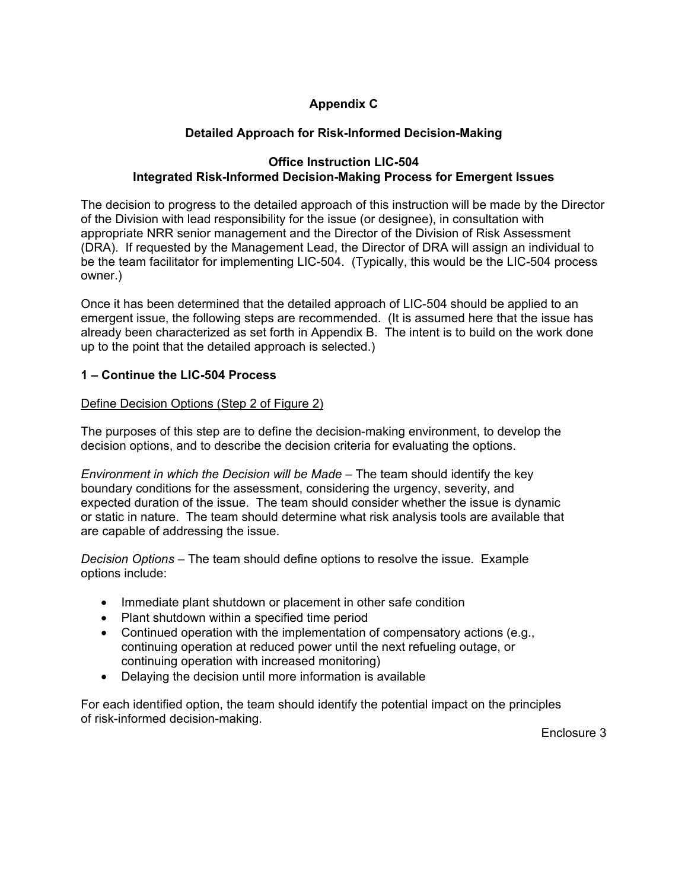# **Appendix C**

# **Detailed Approach for Risk-Informed Decision-Making**

# **Office Instruction LIC-504 Integrated Risk-Informed Decision-Making Process for Emergent Issues**

The decision to progress to the detailed approach of this instruction will be made by the Director of the Division with lead responsibility for the issue (or designee), in consultation with appropriate NRR senior management and the Director of the Division of Risk Assessment (DRA). If requested by the Management Lead, the Director of DRA will assign an individual to be the team facilitator for implementing LIC-504. (Typically, this would be the LIC-504 process owner.)

Once it has been determined that the detailed approach of LIC-504 should be applied to an emergent issue, the following steps are recommended. (It is assumed here that the issue has already been characterized as set forth in Appendix B. The intent is to build on the work done up to the point that the detailed approach is selected.)

# **1 – Continue the LIC-504 Process**

# Define Decision Options (Step 2 of Figure 2)

The purposes of this step are to define the decision-making environment, to develop the decision options, and to describe the decision criteria for evaluating the options.

*Environment in which the Decision will be Made* – The team should identify the key boundary conditions for the assessment, considering the urgency, severity, and expected duration of the issue. The team should consider whether the issue is dynamic or static in nature. The team should determine what risk analysis tools are available that are capable of addressing the issue.

*Decision Options* – The team should define options to resolve the issue. Example options include:

- Immediate plant shutdown or placement in other safe condition
- Plant shutdown within a specified time period
- Continued operation with the implementation of compensatory actions (e.g., continuing operation at reduced power until the next refueling outage, or continuing operation with increased monitoring)
- Delaying the decision until more information is available

For each identified option, the team should identify the potential impact on the principles of risk-informed decision-making.

Enclosure 3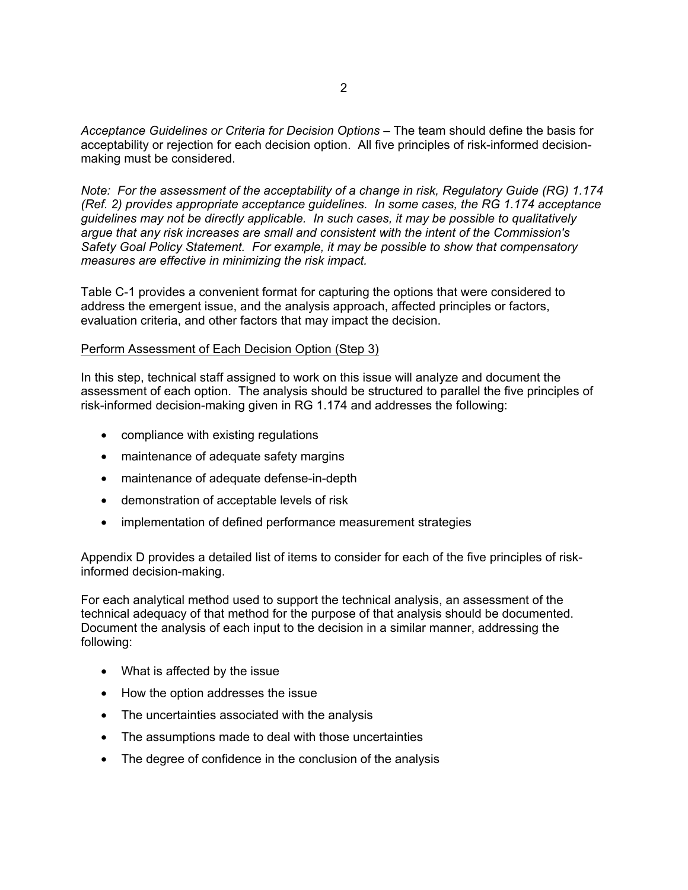*Acceptance Guidelines or Criteria for Decision Options* – The team should define the basis for acceptability or rejection for each decision option. All five principles of risk-informed decisionmaking must be considered.

*Note: For the assessment of the acceptability of a change in risk, Regulatory Guide (RG) 1.174 (Ref. 2) provides appropriate acceptance guidelines. In some cases, the RG 1.174 acceptance guidelines may not be directly applicable. In such cases, it may be possible to qualitatively argue that any risk increases are small and consistent with the intent of the Commission's Safety Goal Policy Statement. For example, it may be possible to show that compensatory measures are effective in minimizing the risk impact.*

Table C-1 provides a convenient format for capturing the options that were considered to address the emergent issue, and the analysis approach, affected principles or factors, evaluation criteria, and other factors that may impact the decision.

#### Perform Assessment of Each Decision Option (Step 3)

In this step, technical staff assigned to work on this issue will analyze and document the assessment of each option. The analysis should be structured to parallel the five principles of risk-informed decision-making given in RG 1.174 and addresses the following:

- compliance with existing regulations
- maintenance of adequate safety margins
- maintenance of adequate defense-in-depth
- demonstration of acceptable levels of risk
- implementation of defined performance measurement strategies

Appendix D provides a detailed list of items to consider for each of the five principles of riskinformed decision-making.

For each analytical method used to support the technical analysis, an assessment of the technical adequacy of that method for the purpose of that analysis should be documented. Document the analysis of each input to the decision in a similar manner, addressing the following:

- What is affected by the issue
- How the option addresses the issue
- The uncertainties associated with the analysis
- The assumptions made to deal with those uncertainties
- The degree of confidence in the conclusion of the analysis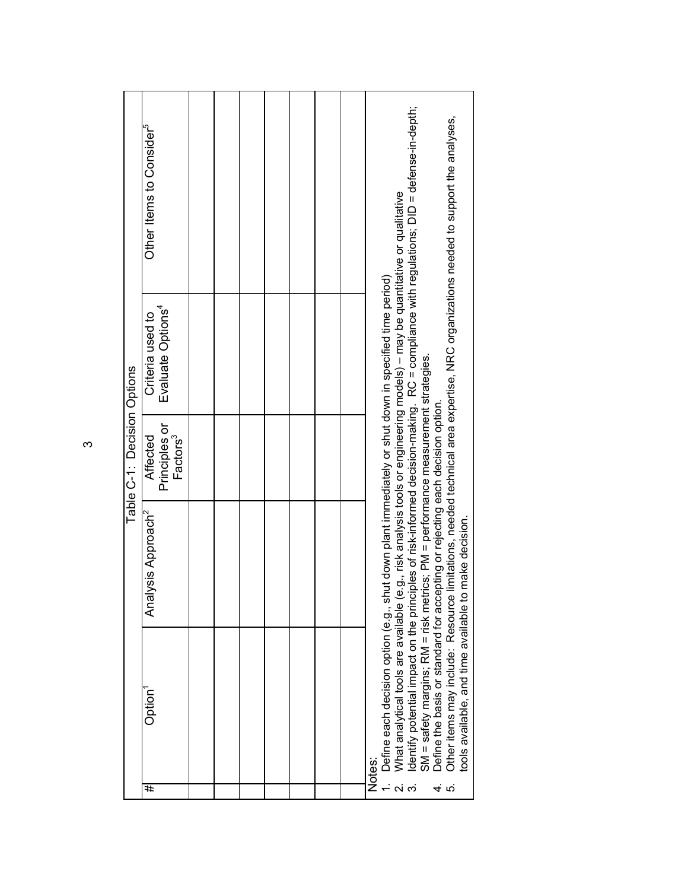|    |                                                                                                                                                              |                                | Table C-1: Decision Options                       |                                                   |                                                                                                                                        |  |
|----|--------------------------------------------------------------------------------------------------------------------------------------------------------------|--------------------------------|---------------------------------------------------|---------------------------------------------------|----------------------------------------------------------------------------------------------------------------------------------------|--|
| #  | Option <sup>1</sup>                                                                                                                                          | Analysis Approach <sup>2</sup> | Principles or<br>Factors <sup>3</sup><br>Affected | Evaluate Options <sup>4</sup><br>Criteria used to | Other Items to Consider <sup>3</sup>                                                                                                   |  |
|    |                                                                                                                                                              |                                |                                                   |                                                   |                                                                                                                                        |  |
|    |                                                                                                                                                              |                                |                                                   |                                                   |                                                                                                                                        |  |
|    |                                                                                                                                                              |                                |                                                   |                                                   |                                                                                                                                        |  |
|    |                                                                                                                                                              |                                |                                                   |                                                   |                                                                                                                                        |  |
|    |                                                                                                                                                              |                                |                                                   |                                                   |                                                                                                                                        |  |
|    |                                                                                                                                                              |                                |                                                   |                                                   |                                                                                                                                        |  |
|    |                                                                                                                                                              |                                |                                                   |                                                   |                                                                                                                                        |  |
|    | Notes:                                                                                                                                                       |                                |                                                   |                                                   |                                                                                                                                        |  |
|    | Define each decision option (e.g., shut down plant immediately or shut down in specified time period)                                                        |                                |                                                   |                                                   |                                                                                                                                        |  |
|    | What analytical tools are available (e.g., risk analysis tools or engineering models) - may be quantitative or qualitative                                   |                                |                                                   |                                                   |                                                                                                                                        |  |
|    | SM = safety margins; RM = risk metrics; PM = performance measurement strategies.                                                                             |                                |                                                   |                                                   | dentify potential impact on the principles of risk-informed decision-making. RC = compliance with regulations; DID = defense-in-depth; |  |
| ທ່ | Define the basis or standard for accepting or rejecting each decision option.<br>tools available, and time available to<br>Other items may include: Resource | make decision.                 |                                                   |                                                   | limitations, needed technical area expertise, NRC organizations needed to support the analyses,                                        |  |
|    |                                                                                                                                                              |                                |                                                   |                                                   |                                                                                                                                        |  |

 $\infty$  $\sim$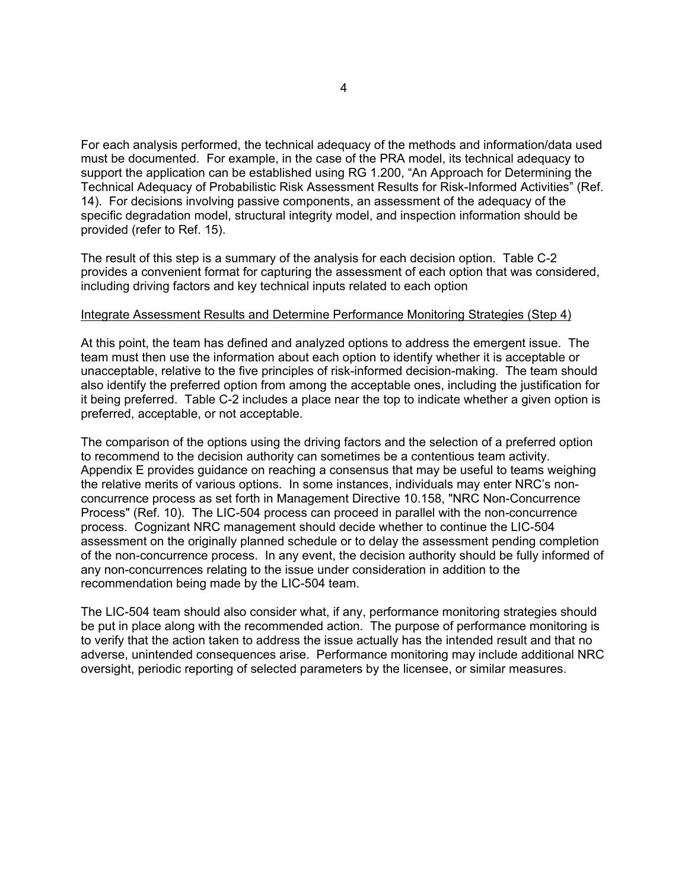For each analysis performed, the technical adequacy of the methods and information/data used must be documented. For example, in the case of the PRA model, its technical adequacy to support the application can be established using RG 1.200, "An Approach for Determining the Technical Adequacy of Probabilistic Risk Assessment Results for Risk-Informed Activities" (Ref. 14). For decisions involving passive components, an assessment of the adequacy of the specific degradation model, structural integrity model, and inspection information should be provided (refer to Ref. 15).

The result of this step is a summary of the analysis for each decision option. Table C-2 provides a convenient format for capturing the assessment of each option that was considered, including driving factors and key technical inputs related to each option

#### Integrate Assessment Results and Determine Performance Monitoring Strategies (Step 4)

At this point, the team has defined and analyzed options to address the emergent issue. The team must then use the information about each option to identify whether it is acceptable or unacceptable, relative to the five principles of risk-informed decision-making. The team should also identify the preferred option from among the acceptable ones, including the justification for it being preferred. Table C-2 includes a place near the top to indicate whether a given option is preferred, acceptable, or not acceptable.

The comparison of the options using the driving factors and the selection of a preferred option to recommend to the decision authority can sometimes be a contentious team activity. Appendix E provides guidance on reaching a consensus that may be useful to teams weighing the relative merits of various options. In some instances, individuals may enter NRC's nonconcurrence process as set forth in Management Directive 10.158, "NRC Non-Concurrence Process" (Ref. 10). The LIC-504 process can proceed in parallel with the non-concurrence process. Cognizant NRC management should decide whether to continue the LIC-504 assessment on the originally planned schedule or to delay the assessment pending completion of the non-concurrence process. In any event, the decision authority should be fully informed of any non-concurrences relating to the issue under consideration in addition to the recommendation being made by the LIC-504 team.

The LIC-504 team should also consider what, if any, performance monitoring strategies should be put in place along with the recommended action. The purpose of performance monitoring is to verify that the action taken to address the issue actually has the intended result and that no adverse, unintended consequences arise. Performance monitoring may include additional NRC oversight, periodic reporting of selected parameters by the licensee, or similar measures.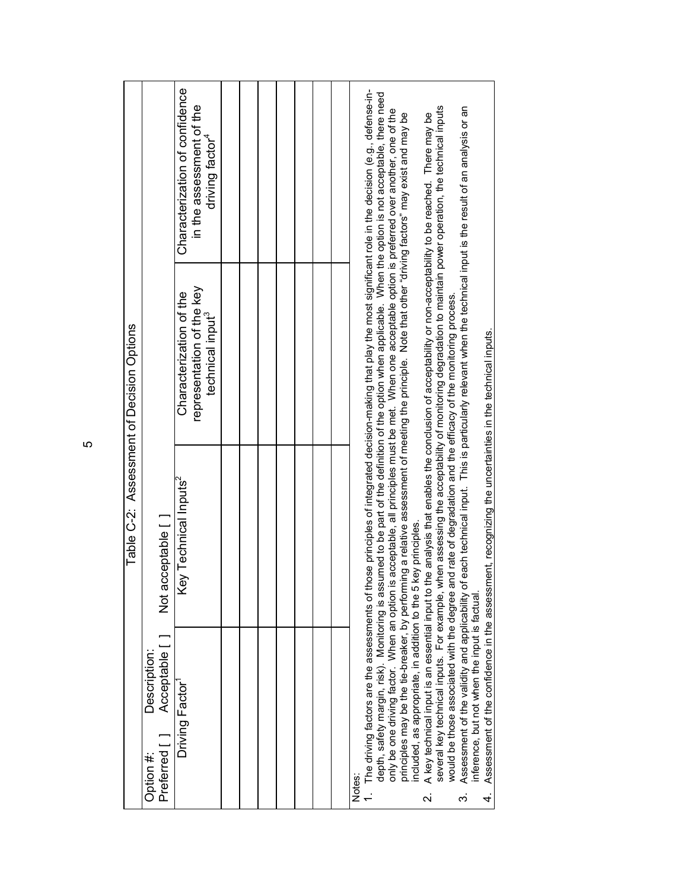|                                                                                                                                                                                                                                                                                                                                                                                                                                                                                                                                                                                                                                                         | Table C-2: Assessment of Decision Options |                                                                                                                                                                                                                                                                                                                                                                                                                                                                                                                                                                                                                                                                                                                                                                                                                                                                               |                                                                                           |
|---------------------------------------------------------------------------------------------------------------------------------------------------------------------------------------------------------------------------------------------------------------------------------------------------------------------------------------------------------------------------------------------------------------------------------------------------------------------------------------------------------------------------------------------------------------------------------------------------------------------------------------------------------|-------------------------------------------|-------------------------------------------------------------------------------------------------------------------------------------------------------------------------------------------------------------------------------------------------------------------------------------------------------------------------------------------------------------------------------------------------------------------------------------------------------------------------------------------------------------------------------------------------------------------------------------------------------------------------------------------------------------------------------------------------------------------------------------------------------------------------------------------------------------------------------------------------------------------------------|-------------------------------------------------------------------------------------------|
| Description:<br>Acceptable<br>Preferred [ ]<br>Option #:                                                                                                                                                                                                                                                                                                                                                                                                                                                                                                                                                                                                | Not acceptable [                          |                                                                                                                                                                                                                                                                                                                                                                                                                                                                                                                                                                                                                                                                                                                                                                                                                                                                               |                                                                                           |
| Driving Factor                                                                                                                                                                                                                                                                                                                                                                                                                                                                                                                                                                                                                                          | Key Technical Inputs <sup>2</sup>         | representation of the key<br>Characterization of the<br>technical input <sup>3</sup>                                                                                                                                                                                                                                                                                                                                                                                                                                                                                                                                                                                                                                                                                                                                                                                          | Characterization of confidence<br>in the assessment of the<br>driving factor <sup>4</sup> |
|                                                                                                                                                                                                                                                                                                                                                                                                                                                                                                                                                                                                                                                         |                                           |                                                                                                                                                                                                                                                                                                                                                                                                                                                                                                                                                                                                                                                                                                                                                                                                                                                                               |                                                                                           |
|                                                                                                                                                                                                                                                                                                                                                                                                                                                                                                                                                                                                                                                         |                                           |                                                                                                                                                                                                                                                                                                                                                                                                                                                                                                                                                                                                                                                                                                                                                                                                                                                                               |                                                                                           |
|                                                                                                                                                                                                                                                                                                                                                                                                                                                                                                                                                                                                                                                         |                                           |                                                                                                                                                                                                                                                                                                                                                                                                                                                                                                                                                                                                                                                                                                                                                                                                                                                                               |                                                                                           |
|                                                                                                                                                                                                                                                                                                                                                                                                                                                                                                                                                                                                                                                         |                                           |                                                                                                                                                                                                                                                                                                                                                                                                                                                                                                                                                                                                                                                                                                                                                                                                                                                                               |                                                                                           |
|                                                                                                                                                                                                                                                                                                                                                                                                                                                                                                                                                                                                                                                         |                                           |                                                                                                                                                                                                                                                                                                                                                                                                                                                                                                                                                                                                                                                                                                                                                                                                                                                                               |                                                                                           |
|                                                                                                                                                                                                                                                                                                                                                                                                                                                                                                                                                                                                                                                         |                                           |                                                                                                                                                                                                                                                                                                                                                                                                                                                                                                                                                                                                                                                                                                                                                                                                                                                                               |                                                                                           |
|                                                                                                                                                                                                                                                                                                                                                                                                                                                                                                                                                                                                                                                         |                                           |                                                                                                                                                                                                                                                                                                                                                                                                                                                                                                                                                                                                                                                                                                                                                                                                                                                                               |                                                                                           |
| 1. The driving factors are the assessments of those principles of integrated decision-making that play the most significant role in the decision (e.g., defense-in-<br>would be those associated with the degree and rate of degradation and the efficacy of the monitoring process.<br>Assessment of the confidence in the assessment, recognizing the uncertainties in the technical inputs.<br>only be one driving factor. When an option is<br>Assessment of the validity and applicability of<br>ncluded, as appropriate, in addition to the 5 I<br>inference, but not when the input is factual.<br>Notes:<br>$\overline{\mathbf{v}}$<br>က်<br>4. | key principles.                           | depth, safety margin, risk). Monitoring is assumed to be part of the definition of the option when applicable. When the option is not acceptable, there need<br>everal key technical inputs. For example, when assessing the acceptability of monitoring degradation to maintain power operation, the technical inputs<br>each technical input. This is particularly relevant when the technical input is the result of an analysis or an<br>acceptable, all principles must be met. When one acceptable option is preferred over another, one of the<br>principles may be the tie-breaker, by performing a relative assessment of meeting the principle. Note that other "driving factors" may exist and may be<br>A key technical input is an essential input to the analysis that enables the conclusion of acceptability or non-acceptability to be reached. There may be |                                                                                           |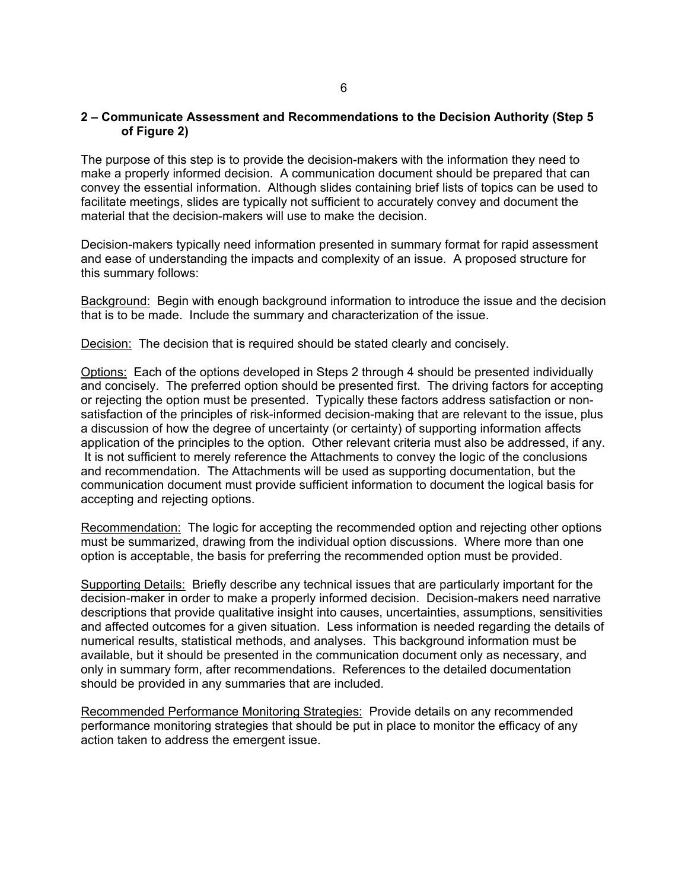# **2 – Communicate Assessment and Recommendations to the Decision Authority (Step 5 of Figure 2)**

The purpose of this step is to provide the decision-makers with the information they need to make a properly informed decision. A communication document should be prepared that can convey the essential information. Although slides containing brief lists of topics can be used to facilitate meetings, slides are typically not sufficient to accurately convey and document the material that the decision-makers will use to make the decision.

Decision-makers typically need information presented in summary format for rapid assessment and ease of understanding the impacts and complexity of an issue. A proposed structure for this summary follows:

Background: Begin with enough background information to introduce the issue and the decision that is to be made. Include the summary and characterization of the issue.

Decision: The decision that is required should be stated clearly and concisely.

Options: Each of the options developed in Steps 2 through 4 should be presented individually and concisely. The preferred option should be presented first. The driving factors for accepting or rejecting the option must be presented. Typically these factors address satisfaction or nonsatisfaction of the principles of risk-informed decision-making that are relevant to the issue, plus a discussion of how the degree of uncertainty (or certainty) of supporting information affects application of the principles to the option. Other relevant criteria must also be addressed, if any. It is not sufficient to merely reference the Attachments to convey the logic of the conclusions and recommendation. The Attachments will be used as supporting documentation, but the communication document must provide sufficient information to document the logical basis for accepting and rejecting options.

Recommendation: The logic for accepting the recommended option and rejecting other options must be summarized, drawing from the individual option discussions. Where more than one option is acceptable, the basis for preferring the recommended option must be provided.

Supporting Details: Briefly describe any technical issues that are particularly important for the decision-maker in order to make a properly informed decision. Decision-makers need narrative descriptions that provide qualitative insight into causes, uncertainties, assumptions, sensitivities and affected outcomes for a given situation. Less information is needed regarding the details of numerical results, statistical methods, and analyses. This background information must be available, but it should be presented in the communication document only as necessary, and only in summary form, after recommendations. References to the detailed documentation should be provided in any summaries that are included.

Recommended Performance Monitoring Strategies: Provide details on any recommended performance monitoring strategies that should be put in place to monitor the efficacy of any action taken to address the emergent issue.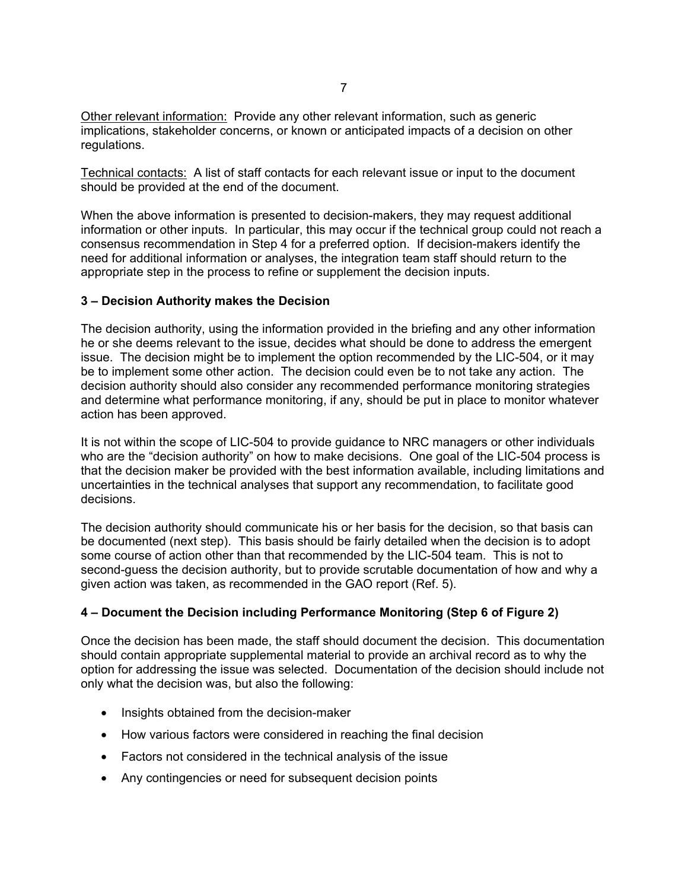Other relevant information: Provide any other relevant information, such as generic implications, stakeholder concerns, or known or anticipated impacts of a decision on other regulations.

Technical contacts: A list of staff contacts for each relevant issue or input to the document should be provided at the end of the document.

When the above information is presented to decision-makers, they may request additional information or other inputs. In particular, this may occur if the technical group could not reach a consensus recommendation in Step 4 for a preferred option. If decision-makers identify the need for additional information or analyses, the integration team staff should return to the appropriate step in the process to refine or supplement the decision inputs.

# **3 – Decision Authority makes the Decision**

The decision authority, using the information provided in the briefing and any other information he or she deems relevant to the issue, decides what should be done to address the emergent issue. The decision might be to implement the option recommended by the LIC-504, or it may be to implement some other action. The decision could even be to not take any action. The decision authority should also consider any recommended performance monitoring strategies and determine what performance monitoring, if any, should be put in place to monitor whatever action has been approved.

It is not within the scope of LIC-504 to provide guidance to NRC managers or other individuals who are the "decision authority" on how to make decisions. One goal of the LIC-504 process is that the decision maker be provided with the best information available, including limitations and uncertainties in the technical analyses that support any recommendation, to facilitate good decisions.

The decision authority should communicate his or her basis for the decision, so that basis can be documented (next step). This basis should be fairly detailed when the decision is to adopt some course of action other than that recommended by the LIC-504 team. This is not to second-guess the decision authority, but to provide scrutable documentation of how and why a given action was taken, as recommended in the GAO report (Ref. 5).

# **4 – Document the Decision including Performance Monitoring (Step 6 of Figure 2)**

Once the decision has been made, the staff should document the decision. This documentation should contain appropriate supplemental material to provide an archival record as to why the option for addressing the issue was selected. Documentation of the decision should include not only what the decision was, but also the following:

- Insights obtained from the decision-maker
- How various factors were considered in reaching the final decision
- Factors not considered in the technical analysis of the issue
- Any contingencies or need for subsequent decision points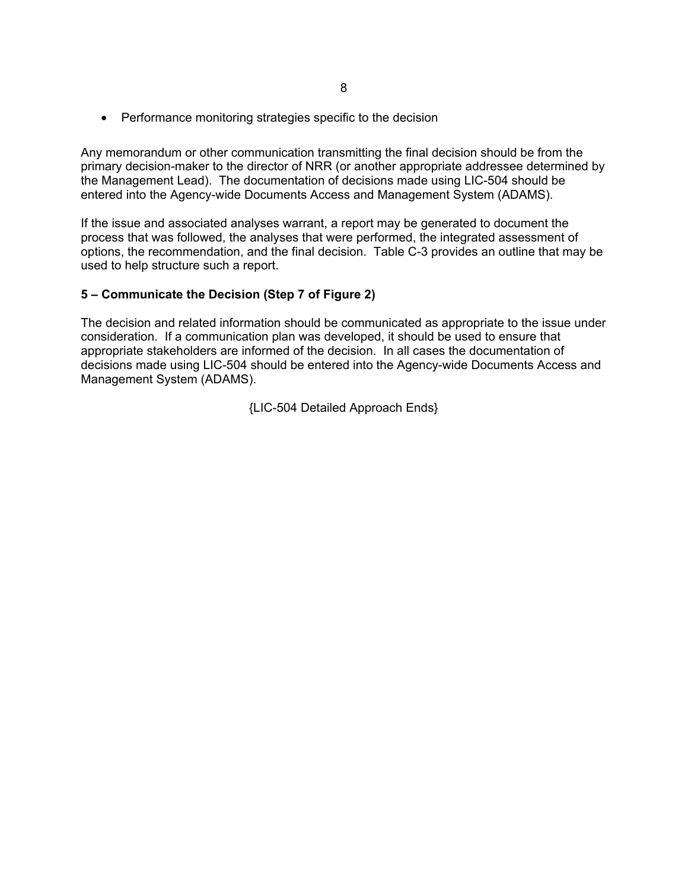• Performance monitoring strategies specific to the decision

Any memorandum or other communication transmitting the final decision should be from the primary decision-maker to the director of NRR (or another appropriate addressee determined by the Management Lead). The documentation of decisions made using LIC-504 should be entered into the Agency-wide Documents Access and Management System (ADAMS).

If the issue and associated analyses warrant, a report may be generated to document the process that was followed, the analyses that were performed, the integrated assessment of options, the recommendation, and the final decision. Table C-3 provides an outline that may be used to help structure such a report.

# **5 – Communicate the Decision (Step 7 of Figure 2)**

The decision and related information should be communicated as appropriate to the issue under consideration. If a communication plan was developed, it should be used to ensure that appropriate stakeholders are informed of the decision. In all cases the documentation of decisions made using LIC-504 should be entered into the Agency-wide Documents Access and Management System (ADAMS).

{LIC-504 Detailed Approach Ends}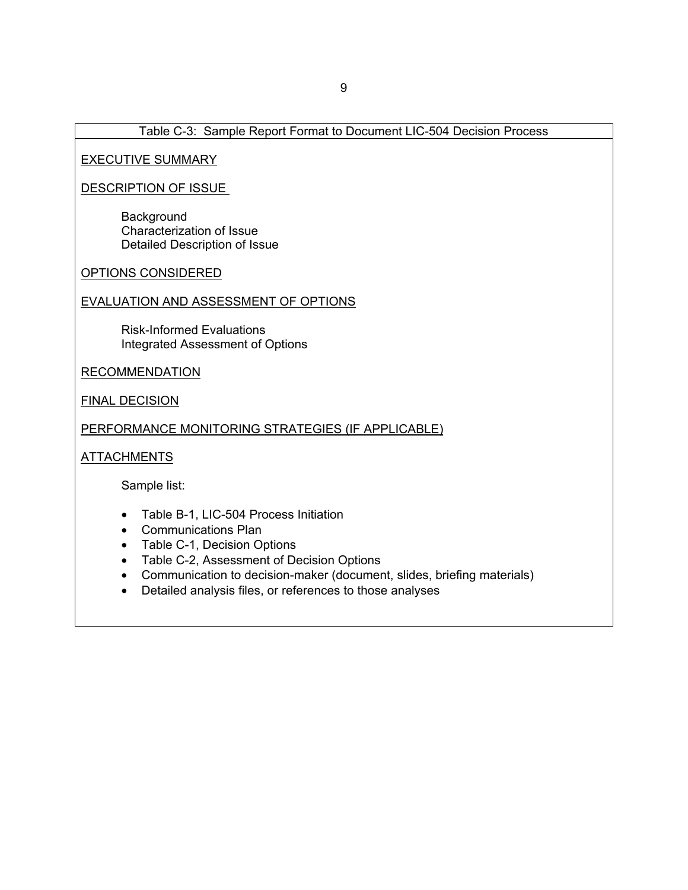# Table C-3: Sample Report Format to Document LIC-504 Decision Process

#### EXECUTIVE SUMMARY

# DESCRIPTION OF ISSUE

**Background** Characterization of Issue Detailed Description of Issue

OPTIONS CONSIDERED

# EVALUATION AND ASSESSMENT OF OPTIONS

Risk-Informed Evaluations Integrated Assessment of Options

#### RECOMMENDATION

FINAL DECISION

# PERFORMANCE MONITORING STRATEGIES (IF APPLICABLE)

#### **ATTACHMENTS**

Sample list:

- Table B-1, LIC-504 Process Initiation
- Communications Plan
- Table C-1, Decision Options
- Table C-2, Assessment of Decision Options
- Communication to decision-maker (document, slides, briefing materials)
- Detailed analysis files, or references to those analyses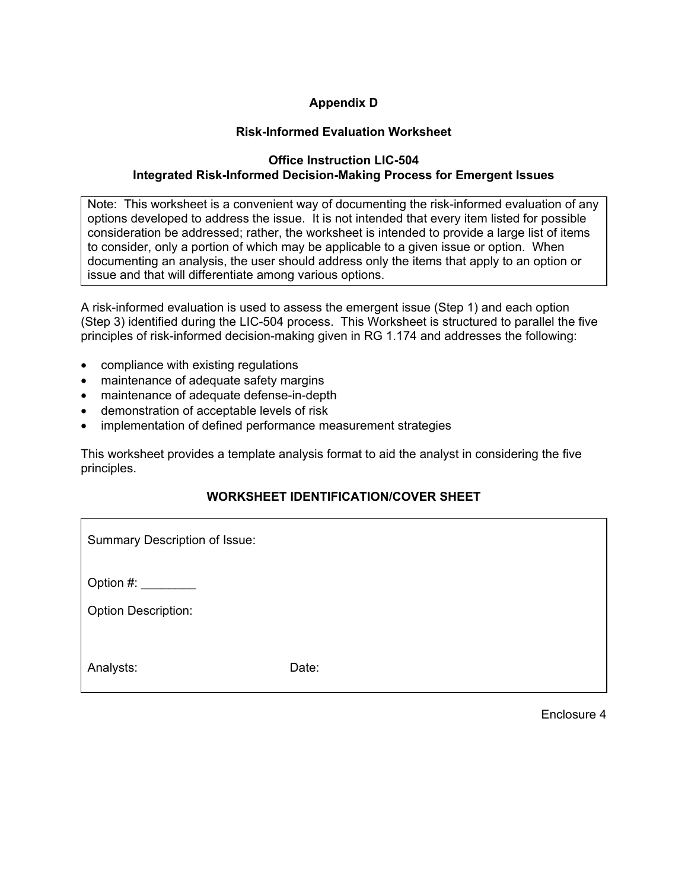# **Appendix D**

# **Risk-Informed Evaluation Worksheet**

# **Office Instruction LIC-504 Integrated Risk-Informed Decision-Making Process for Emergent Issues**

Note: This worksheet is a convenient way of documenting the risk-informed evaluation of any options developed to address the issue. It is not intended that every item listed for possible consideration be addressed; rather, the worksheet is intended to provide a large list of items to consider, only a portion of which may be applicable to a given issue or option. When documenting an analysis, the user should address only the items that apply to an option or issue and that will differentiate among various options.

A risk-informed evaluation is used to assess the emergent issue (Step 1) and each option (Step 3) identified during the LIC-504 process. This Worksheet is structured to parallel the five principles of risk-informed decision-making given in RG 1.174 and addresses the following:

- compliance with existing regulations
- maintenance of adequate safety margins
- maintenance of adequate defense-in-depth
- demonstration of acceptable levels of risk
- implementation of defined performance measurement strategies

This worksheet provides a template analysis format to aid the analyst in considering the five principles.

# **WORKSHEET IDENTIFICATION/COVER SHEET**

| Summary Description of Issue:           |       |
|-----------------------------------------|-------|
| Option #:<br><b>Option Description:</b> |       |
| Analysts:                               | Date: |

Enclosure 4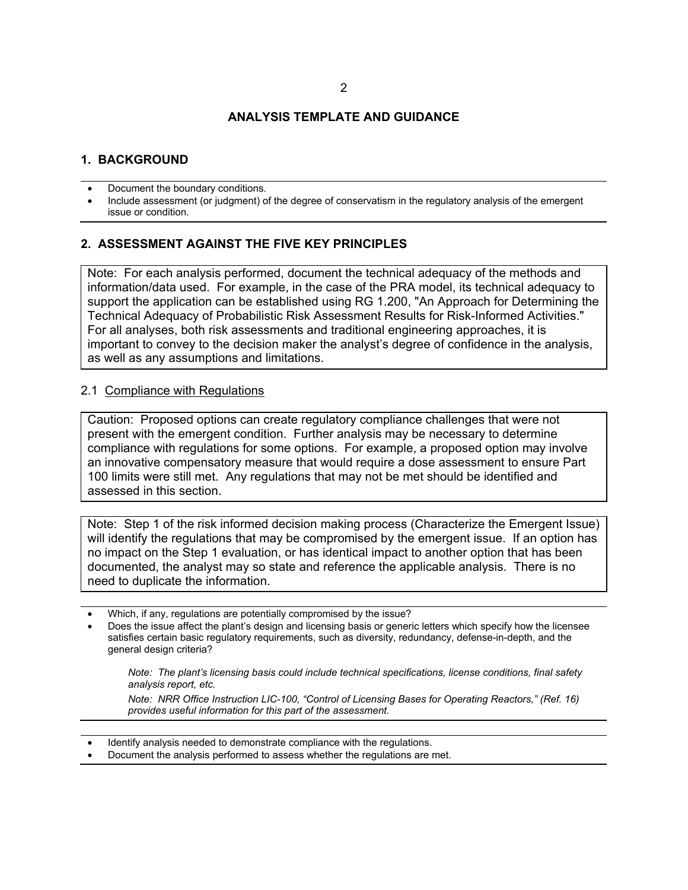#### **ANALYSIS TEMPLATE AND GUIDANCE**

# **1. BACKGROUND**

- Document the boundary conditions.
- Include assessment (or judgment) of the degree of conservatism in the regulatory analysis of the emergent issue or condition.

# **2. ASSESSMENT AGAINST THE FIVE KEY PRINCIPLES**

Note: For each analysis performed, document the technical adequacy of the methods and information/data used. For example, in the case of the PRA model, its technical adequacy to support the application can be established using RG 1.200, "An Approach for Determining the Technical Adequacy of Probabilistic Risk Assessment Results for Risk-Informed Activities." For all analyses, both risk assessments and traditional engineering approaches, it is important to convey to the decision maker the analyst's degree of confidence in the analysis, as well as any assumptions and limitations.

#### 2.1 Compliance with Regulations

Caution: Proposed options can create regulatory compliance challenges that were not present with the emergent condition. Further analysis may be necessary to determine compliance with regulations for some options. For example, a proposed option may involve an innovative compensatory measure that would require a dose assessment to ensure Part 100 limits were still met. Any regulations that may not be met should be identified and assessed in this section.

Note: Step 1 of the risk informed decision making process (Characterize the Emergent Issue) will identify the regulations that may be compromised by the emergent issue. If an option has no impact on the Step 1 evaluation, or has identical impact to another option that has been documented, the analyst may so state and reference the applicable analysis. There is no need to duplicate the information.

- Which, if any, regulations are potentially compromised by the issue?
- Does the issue affect the plant's design and licensing basis or generic letters which specify how the licensee satisfies certain basic regulatory requirements, such as diversity, redundancy, defense-in-depth, and the general design criteria?

*Note: The plant's licensing basis could include technical specifications, license conditions, final safety analysis report, etc.* 

*Note: NRR Office Instruction LIC-100, "Control of Licensing Bases for Operating Reactors," (Ref. 16) provides useful information for this part of the assessment.*

- Identify analysis needed to demonstrate compliance with the regulations.
- Document the analysis performed to assess whether the regulations are met.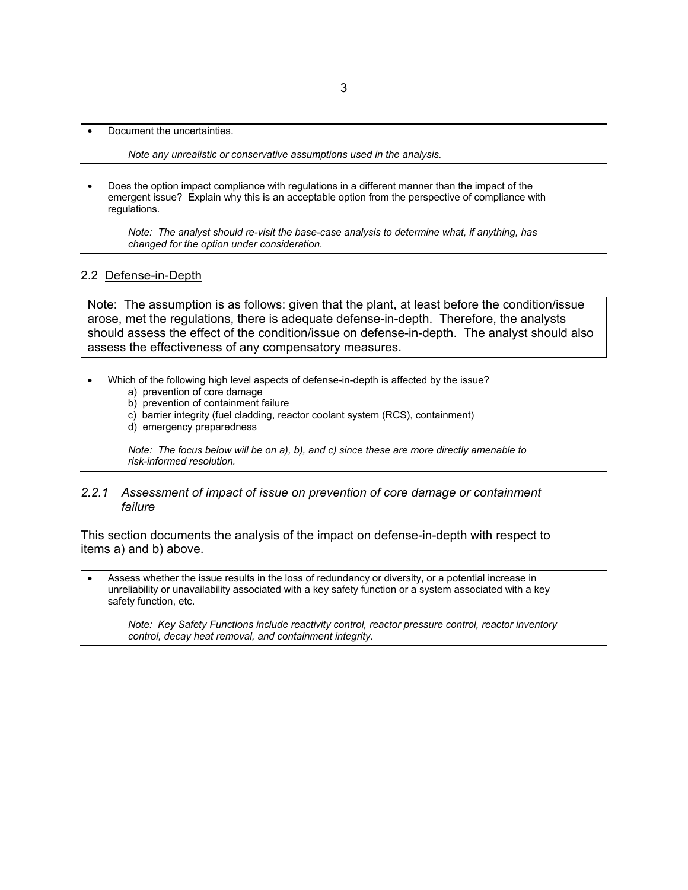• Document the uncertainties.

*Note any unrealistic or conservative assumptions used in the analysis.*

• Does the option impact compliance with regulations in a different manner than the impact of the emergent issue? Explain why this is an acceptable option from the perspective of compliance with regulations.

*Note: The analyst should re-visit the base-case analysis to determine what, if anything, has changed for the option under consideration.*

#### 2.2 Defense-in-Depth

Note: The assumption is as follows: given that the plant, at least before the condition/issue arose, met the regulations, there is adequate defense-in-depth. Therefore, the analysts should assess the effect of the condition/issue on defense-in-depth. The analyst should also assess the effectiveness of any compensatory measures.

- Which of the following high level aspects of defense-in-depth is affected by the issue?
	- a) prevention of core damage
	- b) prevention of containment failure
	- c) barrier integrity (fuel cladding, reactor coolant system (RCS), containment)
	- d) emergency preparedness

*Note: The focus below will be on a), b), and c) since these are more directly amenable to risk-informed resolution.*

#### *2.2.1 Assessment of impact of issue on prevention of core damage or containment failure*

This section documents the analysis of the impact on defense-in-depth with respect to items a) and b) above.

• Assess whether the issue results in the loss of redundancy or diversity, or a potential increase in unreliability or unavailability associated with a key safety function or a system associated with a key safety function, etc.

*Note: Key Safety Functions include reactivity control, reactor pressure control, reactor inventory control, decay heat removal, and containment integrity*.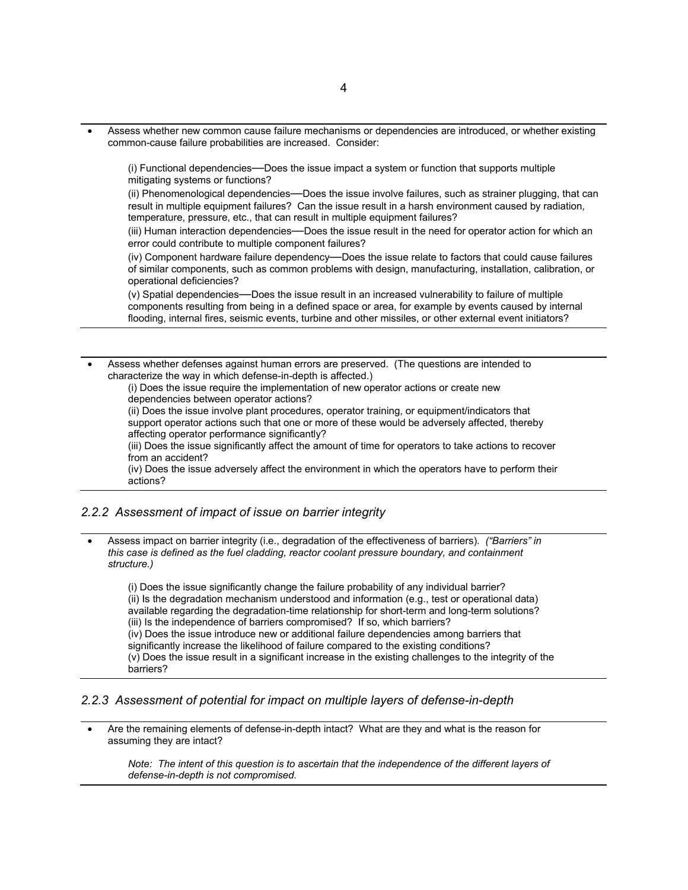• Assess whether new common cause failure mechanisms or dependencies are introduced, or whether existing common-cause failure probabilities are increased. Consider:

(i) Functional dependencies—Does the issue impact a system or function that supports multiple mitigating systems or functions?

(ii) Phenomenological dependencies—Does the issue involve failures, such as strainer plugging, that can result in multiple equipment failures? Can the issue result in a harsh environment caused by radiation, temperature, pressure, etc., that can result in multiple equipment failures?

(iii) Human interaction dependencies—Does the issue result in the need for operator action for which an error could contribute to multiple component failures?

(iv) Component hardware failure dependency—Does the issue relate to factors that could cause failures of similar components, such as common problems with design, manufacturing, installation, calibration, or operational deficiencies?

(v) Spatial dependencies—Does the issue result in an increased vulnerability to failure of multiple components resulting from being in a defined space or area, for example by events caused by internal flooding, internal fires, seismic events, turbine and other missiles, or other external event initiators?

Assess whether defenses against human errors are preserved. (The questions are intended to characterize the way in which defense-in-depth is affected.)

(i) Does the issue require the implementation of new operator actions or create new dependencies between operator actions?

(ii) Does the issue involve plant procedures, operator training, or equipment/indicators that support operator actions such that one or more of these would be adversely affected, thereby affecting operator performance significantly?

(iii) Does the issue significantly affect the amount of time for operators to take actions to recover from an accident?

(iv) Does the issue adversely affect the environment in which the operators have to perform their actions?

#### *2.2.2 Assessment of impact of issue on barrier integrity*

• Assess impact on barrier integrity (i.e., degradation of the effectiveness of barriers). *("Barriers" in this case is defined as the fuel cladding, reactor coolant pressure boundary, and containment structure.)*

(i) Does the issue significantly change the failure probability of any individual barrier? (ii) Is the degradation mechanism understood and information (e.g., test or operational data) available regarding the degradation-time relationship for short-term and long-term solutions? (iii) Is the independence of barriers compromised? If so, which barriers? (iv) Does the issue introduce new or additional failure dependencies among barriers that significantly increase the likelihood of failure compared to the existing conditions? (v) Does the issue result in a significant increase in the existing challenges to the integrity of the barriers?

#### *2.2.3 Assessment of potential for impact on multiple layers of defense-in-depth*

• Are the remaining elements of defense-in-depth intact? What are they and what is the reason for assuming they are intact?

*Note: The intent of this question is to ascertain that the independence of the different layers of defense-in-depth is not compromised.*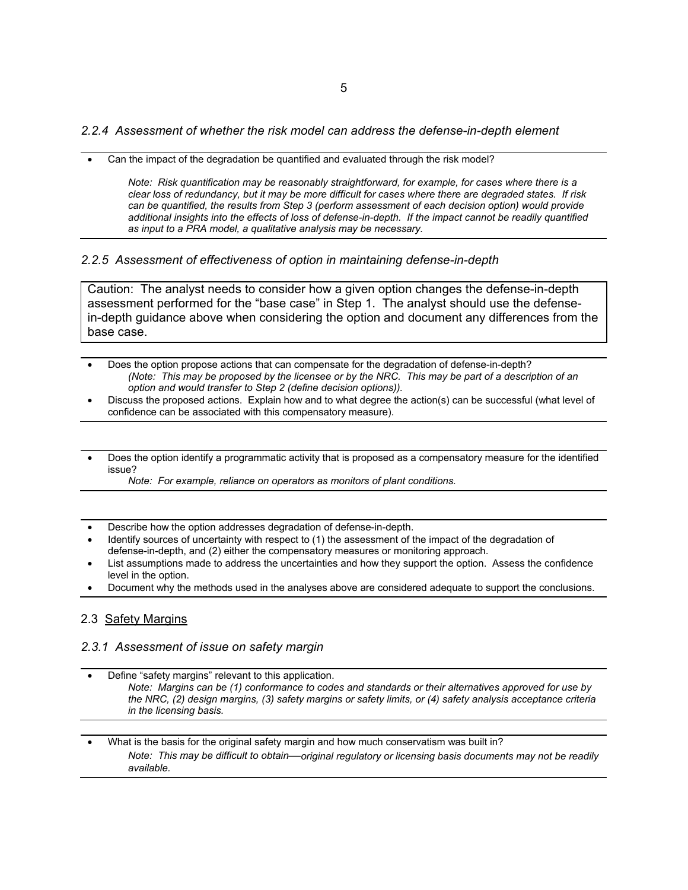*2.2.4 Assessment of whether the risk model can address the defense-in-depth element*

• Can the impact of the degradation be quantified and evaluated through the risk model?

*Note: Risk quantification may be reasonably straightforward, for example, for cases where there is a clear loss of redundancy, but it may be more difficult for cases where there are degraded states. If risk can be quantified, the results from Step 3 (perform assessment of each decision option) would provide additional insights into the effects of loss of defense-in-depth. If the impact cannot be readily quantified as input to a PRA model, a qualitative analysis may be necessary.*

#### *2.2.5 Assessment of effectiveness of option in maintaining defense-in-depth*

Caution: The analyst needs to consider how a given option changes the defense-in-depth assessment performed for the "base case" in Step 1. The analyst should use the defensein-depth guidance above when considering the option and document any differences from the base case.

- Does the option propose actions that can compensate for the degradation of defense-in-depth? *(Note: This may be proposed by the licensee or by the NRC. This may be part of a description of an option and would transfer to Step 2 (define decision options)).*
- Discuss the proposed actions. Explain how and to what degree the action(s) can be successful (what level of confidence can be associated with this compensatory measure).
- Does the option identify a programmatic activity that is proposed as a compensatory measure for the identified issue?
	- *Note: For example, reliance on operators as monitors of plant conditions.*
- Describe how the option addresses degradation of defense-in-depth.
- Identify sources of uncertainty with respect to (1) the assessment of the impact of the degradation of defense-in-depth, and (2) either the compensatory measures or monitoring approach.
- List assumptions made to address the uncertainties and how they support the option. Assess the confidence level in the option.
- Document why the methods used in the analyses above are considered adequate to support the conclusions.

#### 2.3 Safety Margins

#### *2.3.1 Assessment of issue on safety margin*

• Define "safety margins" relevant to this application. *Note: Margins can be (1) conformance to codes and standards or their alternatives approved for use by the NRC, (2) design margins, (3) safety margins or safety limits, or (4) safety analysis acceptance criteria in the licensing basis.*

• What is the basis for the original safety margin and how much conservatism was built in? *Note: This may be difficult to obtain*—*original regulatory or licensing basis documents may not be readily available.*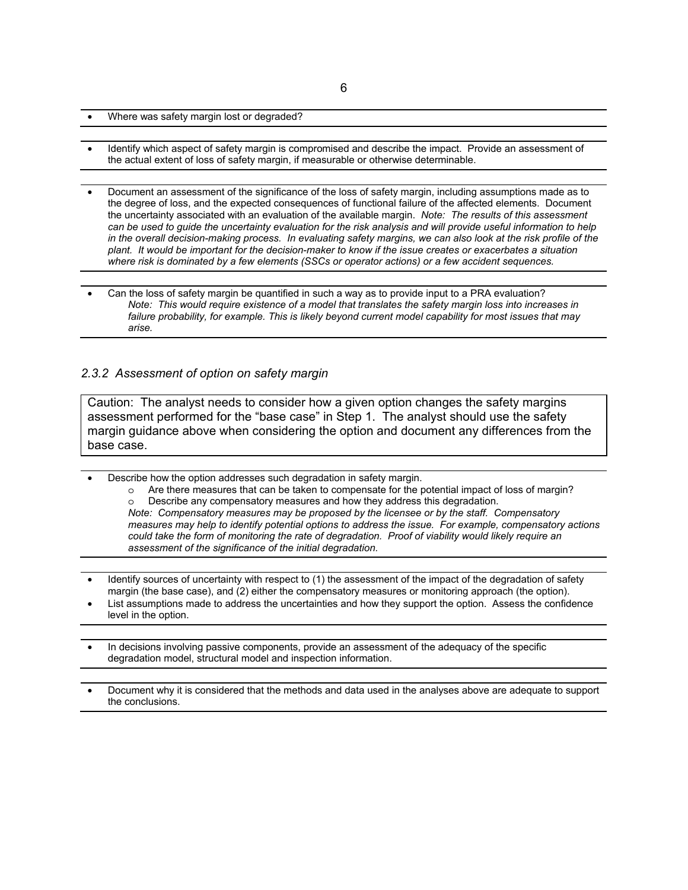- Where was safety margin lost or degraded?
- Identify which aspect of safety margin is compromised and describe the impact. Provide an assessment of the actual extent of loss of safety margin, if measurable or otherwise determinable.
- Document an assessment of the significance of the loss of safety margin, including assumptions made as to the degree of loss, and the expected consequences of functional failure of the affected elements. Document the uncertainty associated with an evaluation of the available margin. *Note: The results of this assessment*  can be used to guide the uncertainty evaluation for the risk analysis and will provide useful information to help in the overall decision-making process. In evaluating safety margins, we can also look at the risk profile of the *plant. It would be important for the decision-maker to know if the issue creates or exacerbates a situation where risk is dominated by a few elements (SSCs or operator actions) or a few accident sequences.*
- Can the loss of safety margin be quantified in such a way as to provide input to a PRA evaluation? *Note: This would require existence of a model that translates the safety margin loss into increases in failure probability, for example. This is likely beyond current model capability for most issues that may arise.*

#### *2.3.2 Assessment of option on safety margin*

Caution: The analyst needs to consider how a given option changes the safety margins assessment performed for the "base case" in Step 1. The analyst should use the safety margin guidance above when considering the option and document any differences from the base case.

- Describe how the option addresses such degradation in safety margin.
	- o Are there measures that can be taken to compensate for the potential impact of loss of margin? o Describe any compensatory measures and how they address this degradation.

*Note: Compensatory measures may be proposed by the licensee or by the staff. Compensatory measures may help to identify potential options to address the issue. For example, compensatory actions could take the form of monitoring the rate of degradation. Proof of viability would likely require an assessment of the significance of the initial degradation.* 

- Identify sources of uncertainty with respect to (1) the assessment of the impact of the degradation of safety margin (the base case), and (2) either the compensatory measures or monitoring approach (the option).
- List assumptions made to address the uncertainties and how they support the option. Assess the confidence level in the option.
- In decisions involving passive components, provide an assessment of the adequacy of the specific degradation model, structural model and inspection information.
- Document why it is considered that the methods and data used in the analyses above are adequate to support the conclusions.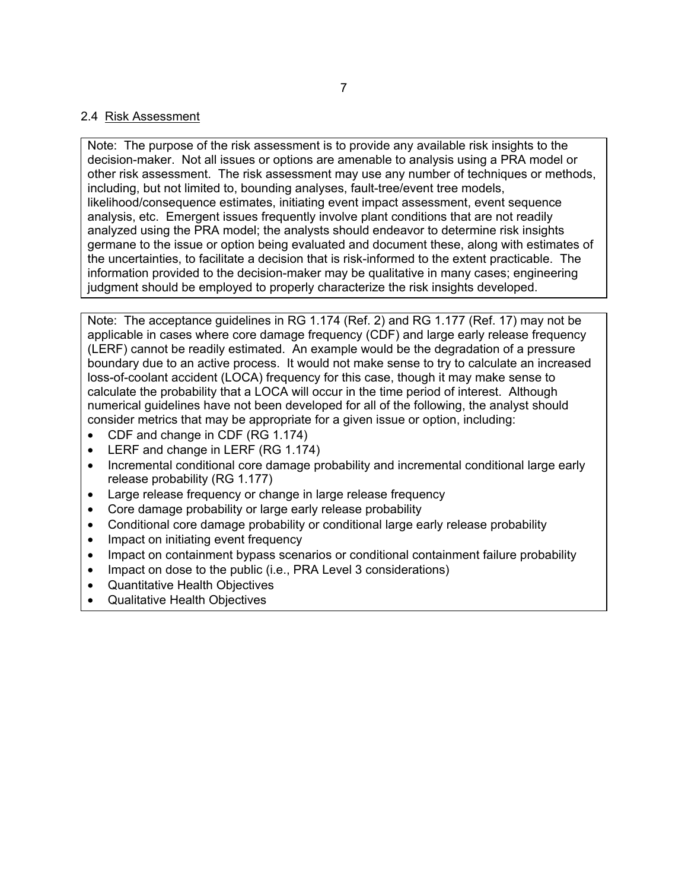# 2.4 Risk Assessment

Note: The purpose of the risk assessment is to provide any available risk insights to the decision-maker. Not all issues or options are amenable to analysis using a PRA model or other risk assessment. The risk assessment may use any number of techniques or methods, including, but not limited to, bounding analyses, fault-tree/event tree models, likelihood/consequence estimates, initiating event impact assessment, event sequence analysis, etc. Emergent issues frequently involve plant conditions that are not readily analyzed using the PRA model; the analysts should endeavor to determine risk insights germane to the issue or option being evaluated and document these, along with estimates of the uncertainties, to facilitate a decision that is risk-informed to the extent practicable. The information provided to the decision-maker may be qualitative in many cases; engineering judgment should be employed to properly characterize the risk insights developed.

Note: The acceptance guidelines in RG 1.174 (Ref. 2) and RG 1.177 (Ref. 17) may not be applicable in cases where core damage frequency (CDF) and large early release frequency (LERF) cannot be readily estimated. An example would be the degradation of a pressure boundary due to an active process. It would not make sense to try to calculate an increased loss-of-coolant accident (LOCA) frequency for this case, though it may make sense to calculate the probability that a LOCA will occur in the time period of interest. Although numerical guidelines have not been developed for all of the following, the analyst should consider metrics that may be appropriate for a given issue or option, including:

- CDF and change in CDF (RG 1.174)
- LERF and change in LERF (RG 1.174)
- Incremental conditional core damage probability and incremental conditional large early release probability (RG 1.177)
- Large release frequency or change in large release frequency
- Core damage probability or large early release probability
- Conditional core damage probability or conditional large early release probability
- Impact on initiating event frequency
- Impact on containment bypass scenarios or conditional containment failure probability
- Impact on dose to the public (i.e., PRA Level 3 considerations)
- Quantitative Health Objectives
- Qualitative Health Objectives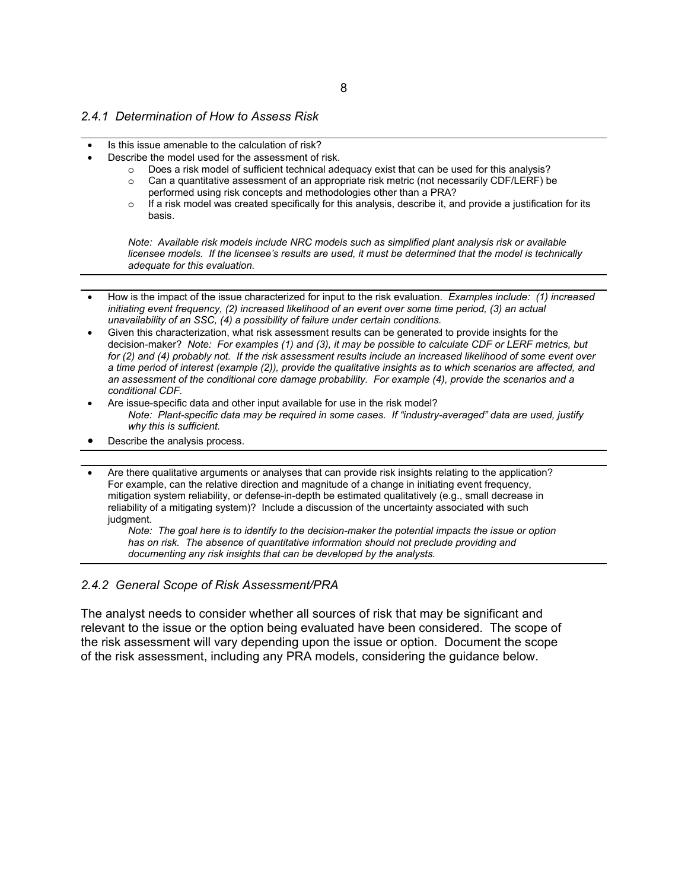- Is this issue amenable to the calculation of risk?
- Describe the model used for the assessment of risk.
	- $\circ$  Does a risk model of sufficient technical adequacy exist that can be used for this analysis?
	- o Can a quantitative assessment of an appropriate risk metric (not necessarily CDF/LERF) be performed using risk concepts and methodologies other than a PRA?
	- o If a risk model was created specifically for this analysis, describe it, and provide a justification for its basis.

*Note: Available risk models include NRC models such as simplified plant analysis risk or available licensee models. If the licensee's results are used, it must be determined that the model is technically adequate for this evaluation.*

- How is the impact of the issue characterized for input to the risk evaluation. *Examples include: (1) increased initiating event frequency, (2) increased likelihood of an event over some time period, (3) an actual unavailability of an SSC, (4) a possibility of failure under certain conditions.*
- Given this characterization, what risk assessment results can be generated to provide insights for the decision-maker? *Note: For examples (1) and (3), it may be possible to calculate CDF or LERF metrics, but for (2) and (4) probably not. If the risk assessment results include an increased likelihood of some event over a time period of interest (example (2)), provide the qualitative insights as to which scenarios are affected, and an assessment of the conditional core damage probability. For example (4), provide the scenarios and a conditional CDF.*
- Are issue-specific data and other input available for use in the risk model? *Note: Plant-specific data may be required in some cases. If "industry-averaged" data are used, justify why this is sufficient.*
- Describe the analysis process.
- Are there qualitative arguments or analyses that can provide risk insights relating to the application? For example, can the relative direction and magnitude of a change in initiating event frequency, mitigation system reliability, or defense-in-depth be estimated qualitatively (e.g., small decrease in reliability of a mitigating system)? Include a discussion of the uncertainty associated with such judgment.

*Note: The goal here is to identify to the decision-maker the potential impacts the issue or option has on risk. The absence of quantitative information should not preclude providing and documenting any risk insights that can be developed by the analysts.*

#### *2.4.2 General Scope of Risk Assessment/PRA*

The analyst needs to consider whether all sources of risk that may be significant and relevant to the issue or the option being evaluated have been considered. The scope of the risk assessment will vary depending upon the issue or option. Document the scope of the risk assessment, including any PRA models, considering the guidance below.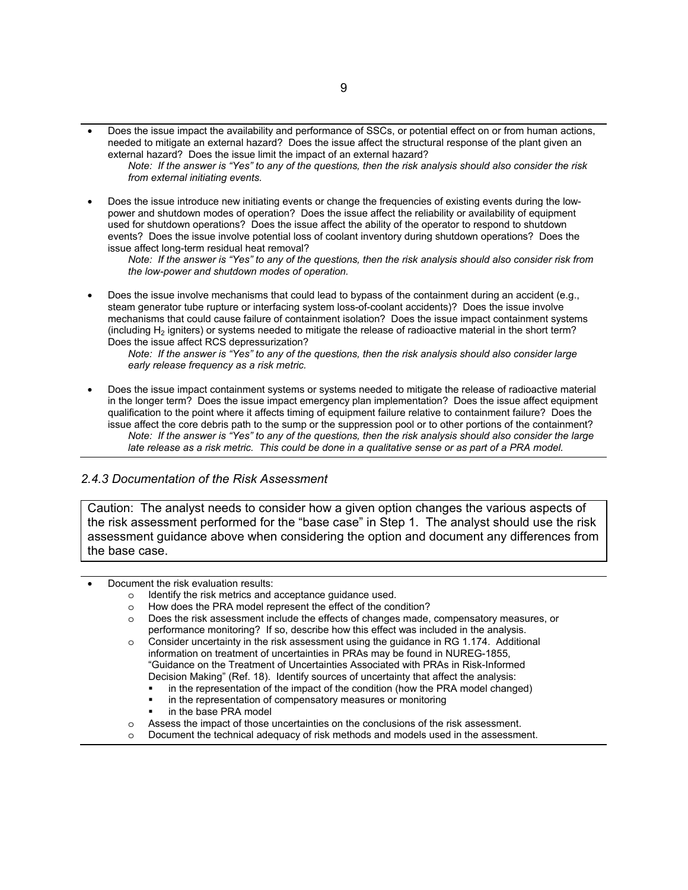• Does the issue impact the availability and performance of SSCs, or potential effect on or from human actions, needed to mitigate an external hazard? Does the issue affect the structural response of the plant given an external hazard? Does the issue limit the impact of an external hazard?

*Note: If the answer is "Yes" to any of the questions, then the risk analysis should also consider the risk from external initiating events.*

• Does the issue introduce new initiating events or change the frequencies of existing events during the lowpower and shutdown modes of operation? Does the issue affect the reliability or availability of equipment used for shutdown operations? Does the issue affect the ability of the operator to respond to shutdown events? Does the issue involve potential loss of coolant inventory during shutdown operations? Does the issue affect long-term residual heat removal?

*Note: If the answer is "Yes" to any of the questions, then the risk analysis should also consider risk from the low-power and shutdown modes of operation.*

• Does the issue involve mechanisms that could lead to bypass of the containment during an accident (e.g., steam generator tube rupture or interfacing system loss-of-coolant accidents)? Does the issue involve mechanisms that could cause failure of containment isolation? Does the issue impact containment systems (including  $H_2$  igniters) or systems needed to mitigate the release of radioactive material in the short term? Does the issue affect RCS depressurization?

*Note: If the answer is "Yes" to any of the questions, then the risk analysis should also consider large early release frequency as a risk metric.*

• Does the issue impact containment systems or systems needed to mitigate the release of radioactive material in the longer term? Does the issue impact emergency plan implementation? Does the issue affect equipment qualification to the point where it affects timing of equipment failure relative to containment failure? Does the issue affect the core debris path to the sump or the suppression pool or to other portions of the containment? *Note: If the answer is "Yes" to any of the questions, then the risk analysis should also consider the large late release as a risk metric. This could be done in a qualitative sense or as part of a PRA model.*

#### *2.4.3 Documentation of the Risk Assessment*

Caution: The analyst needs to consider how a given option changes the various aspects of the risk assessment performed for the "base case" in Step 1. The analyst should use the risk assessment guidance above when considering the option and document any differences from the base case.

• Document the risk evaluation results:

- o Identify the risk metrics and acceptance guidance used.
- o How does the PRA model represent the effect of the condition?
- o Does the risk assessment include the effects of changes made, compensatory measures, or performance monitoring? If so, describe how this effect was included in the analysis.
- o Consider uncertainty in the risk assessment using the guidance in RG 1.174. Additional information on treatment of uncertainties in PRAs may be found in NUREG-1855, "Guidance on the Treatment of Uncertainties Associated with PRAs in Risk-Informed Decision Making" (Ref. 18). Identify sources of uncertainty that affect the analysis:
	- in the representation of the impact of the condition (how the PRA model changed)
	- in the representation of compensatory measures or monitoring
	- in the base PRA model
- o Assess the impact of those uncertainties on the conclusions of the risk assessment.
- Document the technical adequacy of risk methods and models used in the assessment.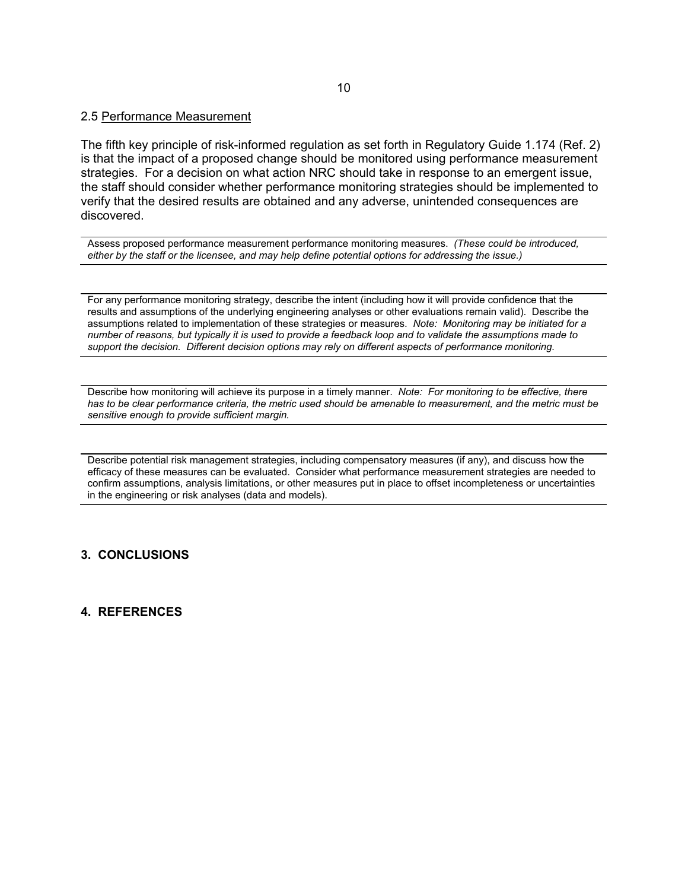#### 2.5 Performance Measurement

The fifth key principle of risk-informed regulation as set forth in Regulatory Guide 1.174 (Ref. 2) is that the impact of a proposed change should be monitored using performance measurement strategies. For a decision on what action NRC should take in response to an emergent issue, the staff should consider whether performance monitoring strategies should be implemented to verify that the desired results are obtained and any adverse, unintended consequences are discovered.

Assess proposed performance measurement performance monitoring measures. *(These could be introduced, either by the staff or the licensee, and may help define potential options for addressing the issue.)*

For any performance monitoring strategy, describe the intent (including how it will provide confidence that the results and assumptions of the underlying engineering analyses or other evaluations remain valid). Describe the assumptions related to implementation of these strategies or measures. *Note: Monitoring may be initiated for a number of reasons, but typically it is used to provide a feedback loop and to validate the assumptions made to support the decision. Different decision options may rely on different aspects of performance monitoring.*

Describe how monitoring will achieve its purpose in a timely manner. *Note: For monitoring to be effective, there has to be clear performance criteria, the metric used should be amenable to measurement, and the metric must be sensitive enough to provide sufficient margin.*

Describe potential risk management strategies, including compensatory measures (if any), and discuss how the efficacy of these measures can be evaluated. Consider what performance measurement strategies are needed to confirm assumptions, analysis limitations, or other measures put in place to offset incompleteness or uncertainties in the engineering or risk analyses (data and models).

#### **3. CONCLUSIONS**

#### **4. REFERENCES**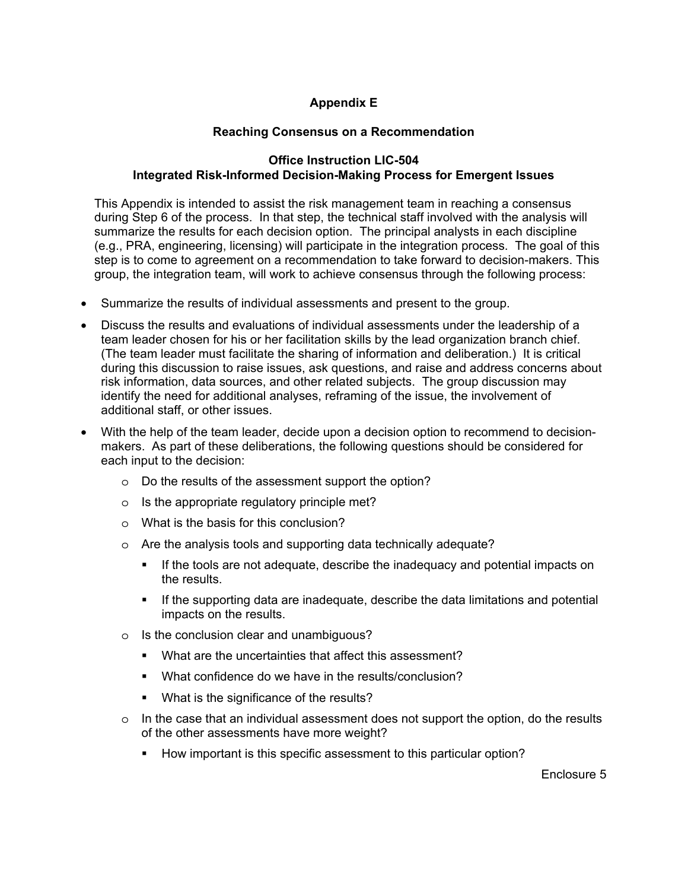# **Appendix E**

# **Reaching Consensus on a Recommendation**

# **Office Instruction LIC-504 Integrated Risk-Informed Decision-Making Process for Emergent Issues**

This Appendix is intended to assist the risk management team in reaching a consensus during Step 6 of the process. In that step, the technical staff involved with the analysis will summarize the results for each decision option. The principal analysts in each discipline (e.g., PRA, engineering, licensing) will participate in the integration process. The goal of this step is to come to agreement on a recommendation to take forward to decision-makers. This group, the integration team, will work to achieve consensus through the following process:

- Summarize the results of individual assessments and present to the group.
- Discuss the results and evaluations of individual assessments under the leadership of a team leader chosen for his or her facilitation skills by the lead organization branch chief. (The team leader must facilitate the sharing of information and deliberation.) It is critical during this discussion to raise issues, ask questions, and raise and address concerns about risk information, data sources, and other related subjects. The group discussion may identify the need for additional analyses, reframing of the issue, the involvement of additional staff, or other issues.
- With the help of the team leader, decide upon a decision option to recommend to decisionmakers. As part of these deliberations, the following questions should be considered for each input to the decision:
	- o Do the results of the assessment support the option?
	- $\circ$  Is the appropriate regulatory principle met?
	- o What is the basis for this conclusion?
	- o Are the analysis tools and supporting data technically adequate?
		- If the tools are not adequate, describe the inadequacy and potential impacts on the results.
		- If the supporting data are inadequate, describe the data limitations and potential impacts on the results.
	- o Is the conclusion clear and unambiguous?
		- What are the uncertainties that affect this assessment?
		- What confidence do we have in the results/conclusion?
		- **What is the significance of the results?**
	- $\circ$  In the case that an individual assessment does not support the option, do the results of the other assessments have more weight?
		- How important is this specific assessment to this particular option?

Enclosure 5